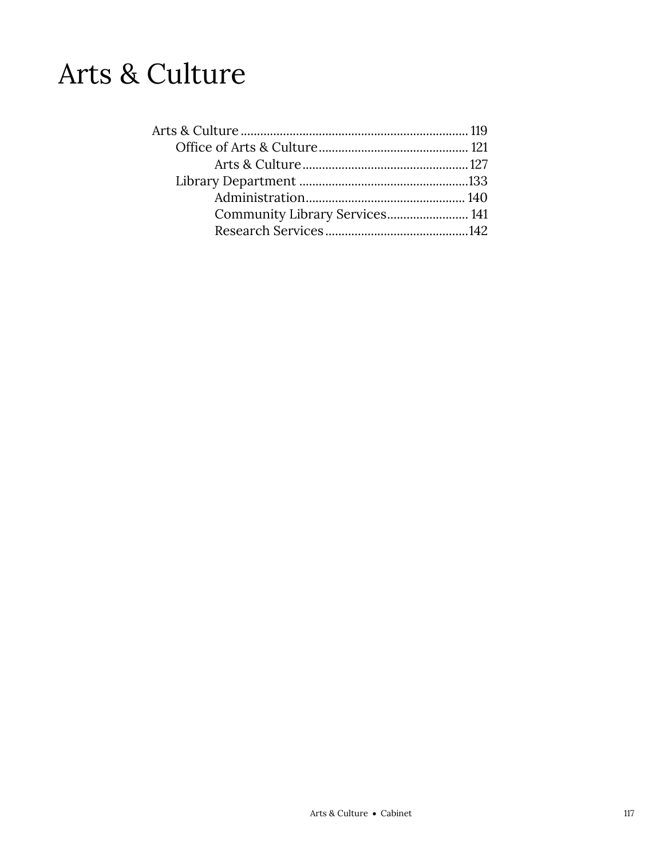## Arts & Culture

| Community Library Services 141 |  |
|--------------------------------|--|
|                                |  |
|                                |  |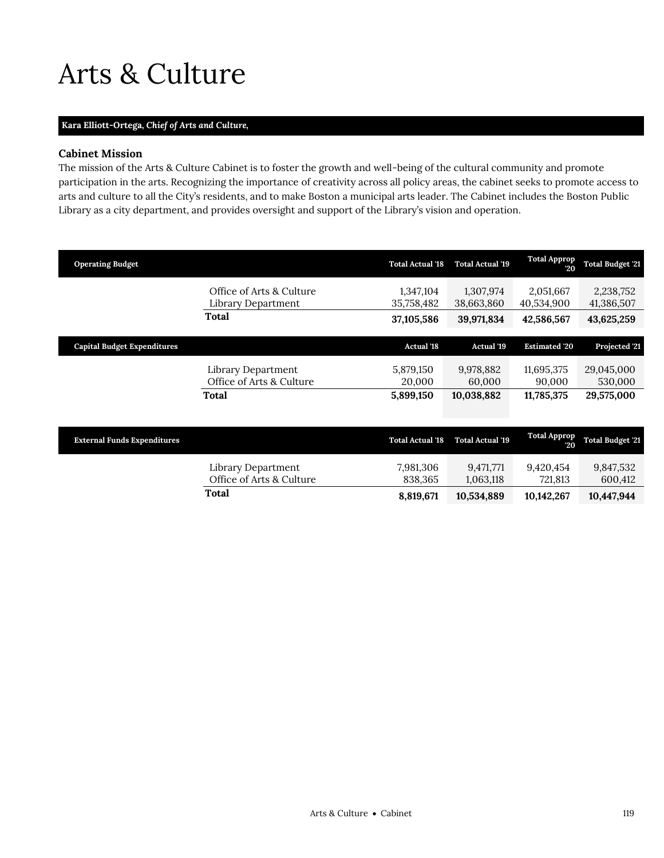## <span id="page-2-0"></span>Arts & Culture

## **Kara Elliott-Ortega,** *Chief of Arts and Culture,*

## **Cabinet Mission**

The mission of the Arts & Culture Cabinet is to foster the growth and well-being of the cultural community and promote participation in the arts. Recognizing the importance of creativity across all policy areas, the cabinet seeks to promote access to arts and culture to all the City's residents, and to make Boston a municipal arts leader. The Cabinet includes the Boston Public Library as a city department, and provides oversight and support of the Library's vision and operation.

| <b>Operating Budget</b>            |                                                | <b>Total Actual '18</b> | <b>Total Actual '19</b> | <b>Total Approp</b><br>20 | <b>Total Budget '21</b> |
|------------------------------------|------------------------------------------------|-------------------------|-------------------------|---------------------------|-------------------------|
|                                    | Office of Arts & Culture<br>Library Department | 1,347,104<br>35,758,482 | 1,307,974<br>38,663,860 | 2,051,667<br>40,534,900   | 2,238,752<br>41,386,507 |
|                                    | Total                                          | 37,105,586              | 39,971,834              | 42,586,567                | 43,625,259              |
| <b>Capital Budget Expenditures</b> |                                                | <b>Actual '18</b>       | Actual '19              | <b>Estimated '20</b>      | Projected '21           |
|                                    |                                                |                         |                         |                           |                         |
|                                    | Library Department                             | 5,879,150               | 9,978,882               | 11,695,375                | 29,045,000              |
|                                    | Office of Arts & Culture                       | 20,000                  | 60,000                  | 90,000                    | 530,000                 |
|                                    | Total                                          | 5,899,150               | 10,038,882              | 11,785,375                | 29,575,000              |

| <b>External Funds Expenditures</b> |                                                | <b>Total Actual '18</b> | <b>Total Actual '19</b> | <b>Total Approp</b><br>20. | <b>Total Budget '21</b> |
|------------------------------------|------------------------------------------------|-------------------------|-------------------------|----------------------------|-------------------------|
|                                    | Library Department<br>Office of Arts & Culture | 7,981,306<br>838.365    | 9,471,771<br>1,063,118  | 9.420.454<br>721.813       | 9,847,532<br>600.412    |
|                                    | Total                                          | 8,819,671               | 10,534,889              | 10,142,267                 | 10,447,944              |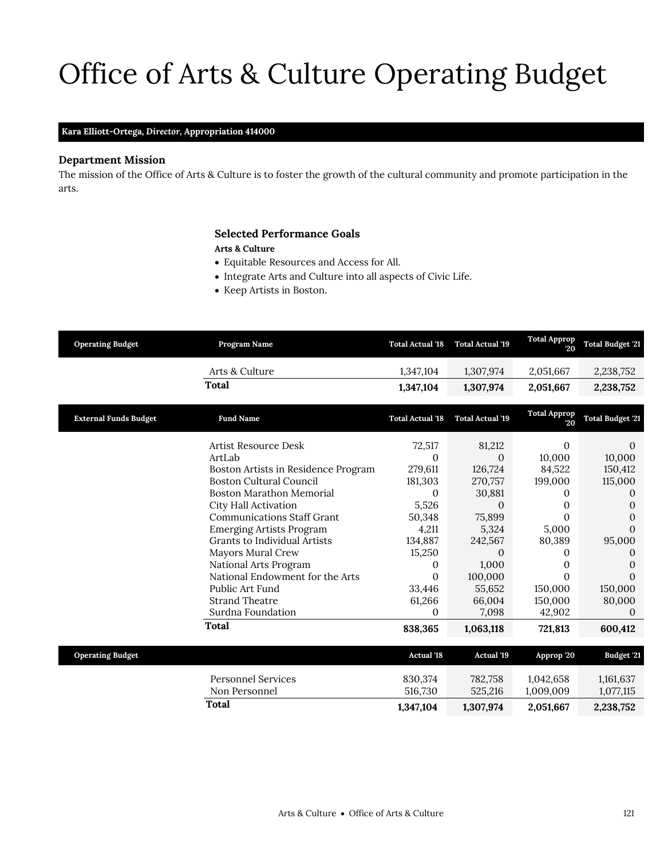# Office of Arts & Culture Operating Budget

## **Kara Elliott-Ortega,** *Director,* **Appropriation 414000**

## **Department Mission**

The mission of the Office of Arts & Culture is to foster the growth of the cultural community and promote participation in the arts.

## <span id="page-4-0"></span>**Selected Performance Goals**

#### **Arts & Culture**

- Equitable Resources and Access for All.
- Integrate Arts and Culture into all aspects of Civic Life.
- Keep Artists in Boston.

| <b>Operating Budget</b>      | Program Name                        | <b>Total Actual '18</b> | <b>Total Actual '19</b> | <b>Total Approp</b><br>20 | <b>Total Budget '21</b> |
|------------------------------|-------------------------------------|-------------------------|-------------------------|---------------------------|-------------------------|
|                              | Arts & Culture                      | 1,347,104               | 1,307,974               | 2,051,667                 | 2,238,752               |
|                              | <b>Total</b>                        | 1,347,104               | 1,307,974               | 2,051,667                 | 2,238,752               |
| <b>External Funds Budget</b> | <b>Fund Name</b>                    | <b>Total Actual '18</b> | <b>Total Actual '19</b> | <b>Total Approp</b><br>20 | <b>Total Budget '21</b> |
|                              | Artist Resource Desk                | 72,517                  | 81,212                  | 0                         | $\Omega$                |
|                              | ArtLab                              | 0                       | $\Omega$                | 10,000                    | 10,000                  |
|                              | Boston Artists in Residence Program | 279,611                 | 126,724                 | 84,522                    | 150,412                 |
|                              | <b>Boston Cultural Council</b>      | 181,303                 | 270,757                 | 199,000                   | 115,000                 |
|                              | <b>Boston Marathon Memorial</b>     | $\Omega$                | 30,881                  | 0                         | $^{(1)}$                |
|                              | City Hall Activation                | 5,526                   | $\Omega$                | 0                         | 0                       |
|                              | <b>Communications Staff Grant</b>   | 50,348                  | 75,899                  | 0                         | 0                       |
|                              | <b>Emerging Artists Program</b>     | 4,211                   | 5,324                   | 5,000                     | 0                       |
|                              | Grants to Individual Artists        | 134,887                 | 242,567                 | 80,389                    | 95,000                  |
|                              | Mayors Mural Crew                   | 15,250                  | $\mathbf{0}$            | 0                         | 0                       |
|                              | National Arts Program               | 0                       | 1,000                   | 0                         | 0                       |
|                              | National Endowment for the Arts     | $\Omega$                | 100,000                 | $\Omega$                  | $\Omega$                |
|                              | Public Art Fund                     | 33,446                  | 55,652                  | 150,000                   | 150,000                 |
|                              | <b>Strand Theatre</b>               | 61,266                  | 66,004                  | 150,000                   | 80,000                  |
|                              | Surdna Foundation                   | 0                       | 7,098                   | 42,902                    | $\Omega$                |
|                              | <b>Total</b>                        | 838,365                 | 1,063,118               | 721,813                   | 600,412                 |
| <b>Operating Budget</b>      |                                     | <b>Actual '18</b>       | <b>Actual '19</b>       | Approp '20                | Budget '21              |
|                              | <b>Personnel Services</b>           | 830,374                 | 782,758                 | 1,042,658                 | 1,161,637               |
|                              | Non Personnel                       | 516,730                 | 525,216                 | 1,009,009                 | 1,077,115               |
|                              | <b>Total</b>                        | 1,347,104               | 1,307,974               | 2,051,667                 | 2,238,752               |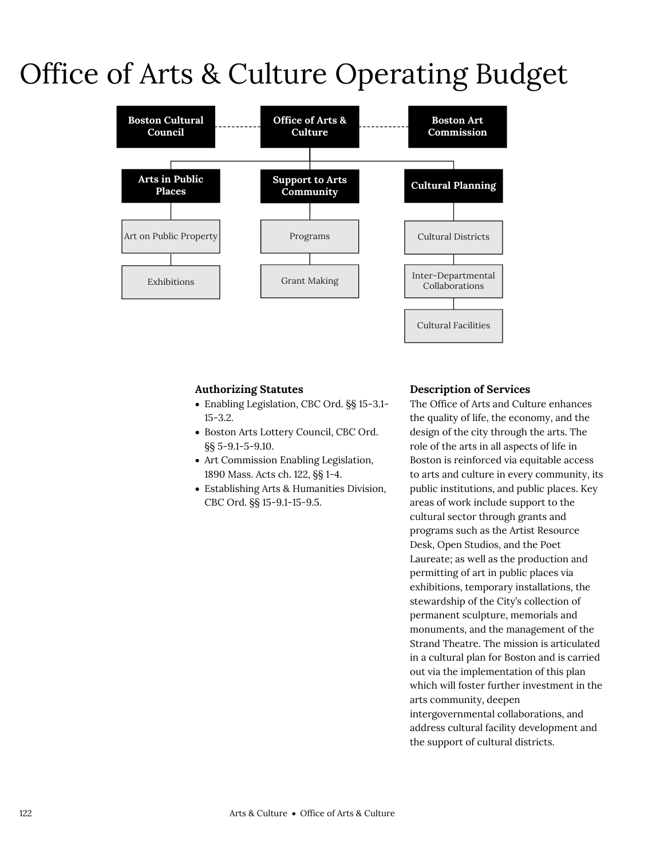## Office of Arts & Culture Operating Budget



## **Authorizing Statutes**

- Enabling Legislation, CBC Ord. §§ 15-3.1- 15-3.2.
- Boston Arts Lottery Council, CBC Ord. §§ 5-9.1-5-9.10.
- Art Commission Enabling Legislation, 1890 Mass. Acts ch. 122, §§ 1-4.
- Establishing Arts & Humanities Division, CBC Ord. §§ 15-9.1-15-9.5.

## **Description of Services**

The Office of Arts and Culture enhances the quality of life, the economy, and the design of the city through the arts. The role of the arts in all aspects of life in Boston is reinforced via equitable access to arts and culture in every community, its public institutions, and public places. Key areas of work include support to the cultural sector through grants and programs such as the Artist Resource Desk, Open Studios, and the Poet Laureate; as well as the production and permitting of art in public places via exhibitions, temporary installations, the stewardship of the City's collection of permanent sculpture, memorials and monuments, and the management of the Strand Theatre. The mission is articulated in a cultural plan for Boston and is carried out via the implementation of this plan which will foster further investment in the arts community, deepen intergovernmental collaborations, and address cultural facility development and the support of cultural districts.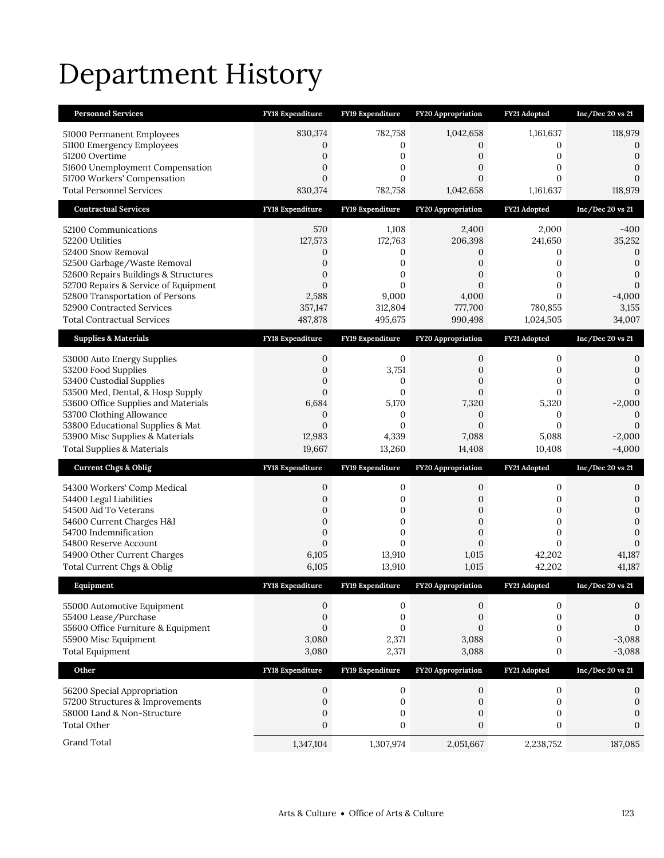# Department History

| <b>Personnel Services</b>                                           | <b>FY18 Expenditure</b>            | FY19 Expenditure                     | <b>FY20 Appropriation</b>          | FY21 Adopted                         | Inc/Dec 20 vs 21                     |
|---------------------------------------------------------------------|------------------------------------|--------------------------------------|------------------------------------|--------------------------------------|--------------------------------------|
| 51000 Permanent Employees                                           | 830,374                            | 782,758                              | 1,042,658                          | 1,161,637                            | 118,979                              |
| 51100 Emergency Employees                                           | 0                                  | 0                                    | 0                                  | 0                                    | 0                                    |
| 51200 Overtime<br>51600 Unemployment Compensation                   | 0<br>0                             | 0<br>0                               | 0<br>0                             | 0<br>0                               | $\mathbf{0}$<br>$\mathbf{0}$         |
| 51700 Workers' Compensation                                         | $\mathbf{0}$                       | $\overline{0}$                       | $\overline{0}$                     | $\mathbf{0}$                         | $\mathbf{0}$                         |
| <b>Total Personnel Services</b>                                     | 830,374                            | 782,758                              | 1,042,658                          | 1,161,637                            | 118,979                              |
| <b>Contractual Services</b>                                         | FY18 Expenditure                   | FY19 Expenditure                     | <b>FY20 Appropriation</b>          | FY21 Adopted                         | Inc/Dec 20 vs 21                     |
| 52100 Communications                                                | 570                                | 1,108                                | 2,400                              | 2,000                                | -400                                 |
| 52200 Utilities                                                     | 127,573                            | 172,763                              | 206,398                            | 241,650                              | 35,252                               |
| 52400 Snow Removal                                                  | 0                                  | 0                                    | 0                                  | 0                                    | $\theta$                             |
| 52500 Garbage/Waste Removal<br>52600 Repairs Buildings & Structures | 0<br>$\overline{0}$                | $\boldsymbol{0}$<br>0                | 0<br>$\overline{0}$                | 0<br>$\mathbf{0}$                    | $\boldsymbol{0}$<br>$\boldsymbol{0}$ |
| 52700 Repairs & Service of Equipment                                | $\Omega$                           | $\overline{0}$                       | $\overline{0}$                     | $\mathbf{0}$                         | $\mathbf{0}$                         |
| 52800 Transportation of Persons                                     | 2,588                              | 9,000                                | 4,000                              | $\Omega$                             | $-4,000$                             |
| 52900 Contracted Services                                           | 357,147                            | 312,804                              | 777,700                            | 780,855                              | 3,155                                |
| <b>Total Contractual Services</b>                                   | 487,878                            | 495,675                              | 990,498                            | 1,024,505                            | 34,007                               |
| <b>Supplies &amp; Materials</b>                                     | FY18 Expenditure                   | FY19 Expenditure                     | <b>FY20 Appropriation</b>          | FY21 Adopted                         | Inc/Dec 20 vs 21                     |
| 53000 Auto Energy Supplies                                          | 0                                  | 0                                    | 0                                  | 0                                    | 0                                    |
| 53200 Food Supplies<br>53400 Custodial Supplies                     | 0<br>$\mathbf{0}$                  | 3,751<br>0                           | 0<br>$\overline{0}$                | 0<br>$\mathbf{0}$                    | $\mathbf{0}$<br>$\mathbf{0}$         |
| 53500 Med, Dental, & Hosp Supply                                    | $\overline{0}$                     | $\mathbf{0}$                         | $\overline{0}$                     | $\mathbf{0}$                         | $\mathbf{0}$                         |
| 53600 Office Supplies and Materials                                 | 6,684                              | 5,170                                | 7,320                              | 5,320                                | $-2,000$                             |
| 53700 Clothing Allowance                                            | $\mathbf{0}$                       | 0                                    | 0                                  | 0                                    | $\mathbf{0}$                         |
| 53800 Educational Supplies & Mat                                    | $\overline{0}$                     | $\mathbf{0}$                         | $\overline{0}$                     | $\mathbf{0}$                         | $\mathbf{0}$                         |
|                                                                     |                                    |                                      |                                    |                                      |                                      |
| 53900 Misc Supplies & Materials                                     | 12,983                             | 4,339                                | 7,088                              | 5,088                                | $-2,000$                             |
| <b>Total Supplies &amp; Materials</b>                               | 19,667                             | 13,260                               | 14,408                             | 10,408                               | $-4,000$                             |
| <b>Current Chgs &amp; Oblig</b>                                     | <b>FY18 Expenditure</b>            | FY19 Expenditure                     | <b>FY20 Appropriation</b>          | FY21 Adopted                         | Inc/Dec 20 vs 21                     |
| 54300 Workers' Comp Medical                                         | 0                                  | 0                                    | 0                                  | 0                                    | 0                                    |
| 54400 Legal Liabilities                                             | 0                                  | 0                                    | 0                                  | 0                                    | $\boldsymbol{0}$                     |
| 54500 Aid To Veterans<br>54600 Current Charges H&I                  | 0<br>$\mathbf{0}$                  | $\boldsymbol{0}$<br>$\mathbf{0}$     | 0<br>$\overline{0}$                | $\mathbf{0}$<br>$\mathbf{0}$         | $\boldsymbol{0}$<br>$\mathbf{0}$     |
| 54700 Indemnification                                               | 0                                  | 0                                    | 0                                  | 0                                    | $\mathbf{0}$                         |
| 54800 Reserve Account                                               | $\overline{0}$                     | $\overline{0}$                       | $\overline{0}$                     | $\mathbf{0}$                         | $\mathbf{0}$                         |
| 54900 Other Current Charges                                         | 6,105                              | 13,910                               | 1,015                              | 42,202                               | 41,187                               |
| Total Current Chgs & Oblig<br>Equipment                             | 6,105<br><b>FY18 Expenditure</b>   | 13,910<br><b>FY19 Expenditure</b>    | 1,015                              | 42,202<br>FY21 Adopted               | 41,187                               |
|                                                                     |                                    |                                      | FY20 Appropriation                 |                                      | Inc/Dec 20 vs 21                     |
| 55000 Automotive Equipment                                          | 0                                  | 0                                    | 0                                  | 0                                    | 0                                    |
| 55400 Lease/Purchase<br>55600 Office Furniture & Equipment          | $\boldsymbol{0}$<br>$\overline{0}$ | $\boldsymbol{0}$<br>$\boldsymbol{0}$ | $\boldsymbol{0}$<br>$\overline{0}$ | $\boldsymbol{0}$<br>$\boldsymbol{0}$ | $\boldsymbol{0}$<br>$\mathbf{0}$     |
| 55900 Misc Equipment                                                | 3,080                              | 2,371                                | 3,088                              | $\boldsymbol{0}$                     | $-3,088$                             |
| <b>Total Equipment</b>                                              | 3,080                              | 2,371                                | 3,088                              | 0                                    | $-3,088$                             |
| Other                                                               | FY18 Expenditure                   | FY19 Expenditure                     | FY20 Appropriation                 | FY21 Adopted                         | Inc/Dec 20 vs 21                     |
| 56200 Special Appropriation                                         | 0                                  | 0                                    | $\mathbf{0}$                       | $\boldsymbol{0}$                     | 0                                    |
| 57200 Structures & Improvements                                     | $\boldsymbol{0}$                   | $\boldsymbol{0}$                     | $\mathbf{0}$                       | $\boldsymbol{0}$                     | $\boldsymbol{0}$                     |
| 58000 Land & Non-Structure                                          | $\boldsymbol{0}$                   | $\boldsymbol{0}$                     | 0                                  | $\mathbf{0}$                         | $\mathbf{0}$                         |
| <b>Total Other</b><br>Grand Total                                   | $\boldsymbol{0}$                   | $\boldsymbol{0}$                     | $\boldsymbol{0}$                   | $\boldsymbol{0}$                     | $\boldsymbol{0}$                     |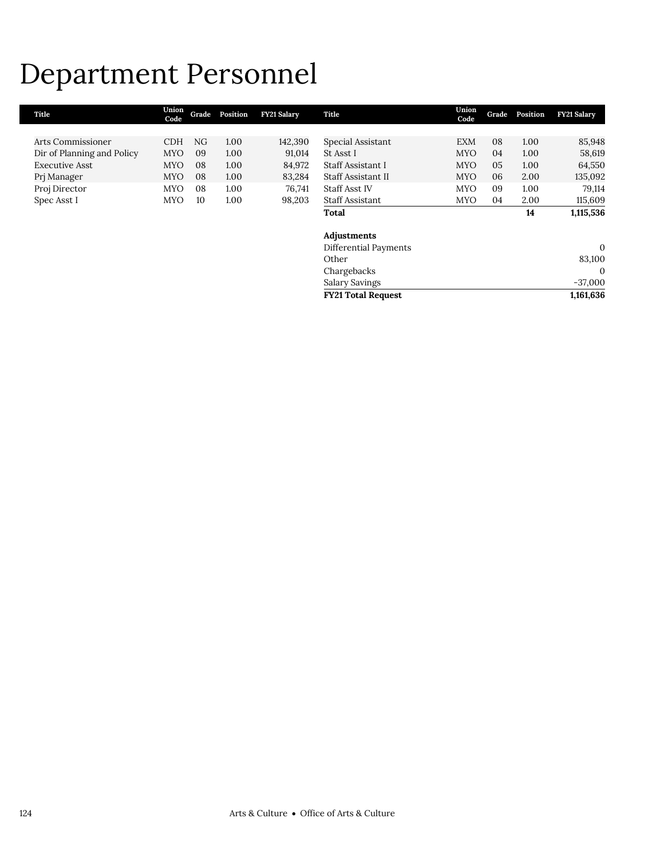## Department Personnel

| Title                      | Union<br>Code | Grade | Position | <b>FY21 Salary</b> | Title                     | Union<br>Code | Grade | Position | <b>FY21 Salary</b> |
|----------------------------|---------------|-------|----------|--------------------|---------------------------|---------------|-------|----------|--------------------|
|                            |               |       |          |                    |                           |               |       |          |                    |
| Arts Commissioner          | <b>CDH</b>    | NG.   | 1.00     | 142,390            | Special Assistant         | <b>EXM</b>    | 08    | 1.00     | 85,948             |
| Dir of Planning and Policy | <b>MYO</b>    | 09    | 1.00     | 91,014             | St Asst I                 | <b>MYO</b>    | 04    | 1.00     | 58,619             |
| <b>Executive Asst</b>      | <b>MYO</b>    | 08    | 1.00     | 84,972             | Staff Assistant I         | <b>MYO</b>    | 05    | 1.00     | 64,550             |
| Prj Manager                | <b>MYO</b>    | 08    | 1.00     | 83,284             | Staff Assistant II        | <b>MYO</b>    | 06    | 2.00     | 135,092            |
| Proj Director              | <b>MYO</b>    | 08    | 1.00     | 76,741             | <b>Staff Asst IV</b>      | <b>MYO</b>    | 09    | 1.00     | 79,114             |
| Spec Asst I                | <b>MYO</b>    | 10    | 1.00     | 98,203             | Staff Assistant           | <b>MYO</b>    | 04    | 2.00     | 115,609            |
|                            |               |       |          |                    | Total                     |               |       | 14       | 1,115,536          |
|                            |               |       |          |                    | Adjustments               |               |       |          |                    |
|                            |               |       |          |                    | Differential Payments     |               |       |          | $\mathbf{0}$       |
|                            |               |       |          |                    | Other                     |               |       |          | 83,100             |
|                            |               |       |          |                    | Chargebacks               |               |       |          | $\mathbf{0}$       |
|                            |               |       |          |                    | <b>Salary Savings</b>     |               |       |          | $-37,000$          |
|                            |               |       |          |                    | <b>FY21 Total Request</b> |               |       |          | 1,161,636          |

Г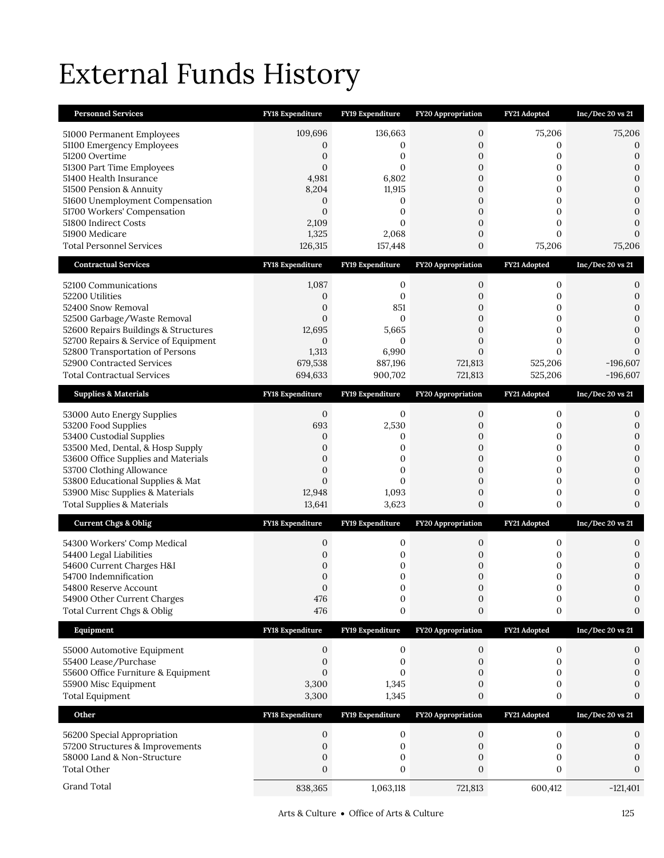# External Funds History

| <b>Personnel Services</b>                                    | FY18 Expenditure           | FY19 Expenditure        | FY20 Appropriation               | FY21 Adopted           | Inc/Dec 20 vs 21                 |
|--------------------------------------------------------------|----------------------------|-------------------------|----------------------------------|------------------------|----------------------------------|
| 51000 Permanent Employees                                    | 109,696                    | 136,663                 | 0                                | 75,206                 | 75,206                           |
| 51100 Emergency Employees                                    | 0                          | 0                       | 0                                | 0                      | 0                                |
| 51200 Overtime                                               | $\overline{0}$             | 0                       | $\mathbf{0}$                     | $\mathbf{0}$           | $\mathbf{0}$                     |
| 51300 Part Time Employees<br>51400 Health Insurance          | $\Omega$<br>4,981          | $\Omega$<br>6,802       | $\mathbf{0}$<br>$\boldsymbol{0}$ | 0<br>0                 | 0<br>$\mathbf{0}$                |
| 51500 Pension & Annuity                                      | 8,204                      | 11,915                  | 0                                | 0                      | $\mathbf{0}$                     |
| 51600 Unemployment Compensation                              | 0                          | 0                       | $\mathbf{0}$                     | 0                      | $\mathbf{0}$                     |
| 51700 Workers' Compensation                                  | $\Omega$                   | 0                       | $\mathbf{0}$                     | 0                      | $\mathbf{0}$                     |
| 51800 Indirect Costs                                         | 2,109                      | $\Omega$                | 0                                | 0                      | $\Omega$                         |
| 51900 Medicare<br><b>Total Personnel Services</b>            | 1,325<br>126,315           | 2,068<br>157,448        | $\boldsymbol{0}$<br>0            | $\mathbf{0}$<br>75,206 | $\Omega$<br>75,206               |
|                                                              |                            |                         |                                  |                        |                                  |
| <b>Contractual Services</b>                                  | <b>FY18 Expenditure</b>    | FY19 Expenditure        | <b>FY20 Appropriation</b>        | FY21 Adopted           | Inc/Dec 20 vs 21                 |
| 52100 Communications                                         | 1,087                      | 0                       | 0                                | $\mathbf{0}$           | 0                                |
| 52200 Utilities                                              | 0                          | 0<br>851                | 0                                | 0                      | 0                                |
| 52400 Snow Removal<br>52500 Garbage/Waste Removal            | 0<br>$\overline{0}$        | 0                       | 0<br>$\overline{0}$              | 0<br>$\mathbf{0}$      | $\mathbf{0}$<br>$\mathbf{0}$     |
| 52600 Repairs Buildings & Structures                         | 12,695                     | 5,665                   | $\overline{0}$                   | $\mathbf{0}$           | $\mathbf{0}$                     |
| 52700 Repairs & Service of Equipment                         | $\mathbf{0}$               | 0                       | $\overline{0}$                   | 0                      | $\mathbf{0}$                     |
| 52800 Transportation of Persons                              | 1,313                      | 6,990                   | $\overline{0}$                   | $\Omega$               | $\Omega$                         |
| 52900 Contracted Services                                    | 679,538<br>694,633         | 887,196                 | 721,813                          | 525,206                | $-196,607$<br>$-196,607$         |
| <b>Total Contractual Services</b>                            |                            | 900,702                 | 721,813                          | 525,206                |                                  |
| <b>Supplies &amp; Materials</b>                              | <b>FY18 Expenditure</b>    | FY19 Expenditure        | FY20 Appropriation               | FY21 Adopted           | Inc/Dec 20 vs 21                 |
| 53000 Auto Energy Supplies                                   | $\mathbf{0}$               | 0                       | 0                                | 0                      | 0                                |
| 53200 Food Supplies                                          | 693                        | 2,530                   | 0                                | 0                      | $\mathbf{0}$                     |
| 53400 Custodial Supplies<br>53500 Med, Dental, & Hosp Supply | 0<br>0                     | 0<br>0                  | 0<br>$\boldsymbol{0}$            | 0<br>0                 | $\mathbf{0}$<br>$\boldsymbol{0}$ |
| 53600 Office Supplies and Materials                          | $\overline{0}$             | 0                       | $\mathbf{0}$                     | $\mathbf{0}$           | $\mathbf{0}$                     |
| 53700 Clothing Allowance                                     | 0                          | 0                       | 0                                | 0                      | $\mathbf{0}$                     |
| 53800 Educational Supplies & Mat                             | $\overline{0}$             | $\Omega$                | $\boldsymbol{0}$                 | 0                      | $\mathbf{0}$                     |
| 53900 Misc Supplies & Materials                              | 12,948                     | 1,093                   | $\boldsymbol{0}$                 | 0                      | $\mathbf{0}$                     |
| <b>Total Supplies &amp; Materials</b>                        | 13,641                     | 3,623                   | 0                                | 0                      | $\Omega$                         |
| <b>Current Chgs &amp; Oblig</b>                              | <b>FY18 Expenditure</b>    | <b>FY19 Expenditure</b> | <b>FY20 Appropriation</b>        | FY21 Adopted           | Inc/Dec 20 vs 21                 |
| 54300 Workers' Comp Medical                                  | 0                          | 0                       | 0                                | 0                      | 0                                |
| 54400 Legal Liabilities                                      | 0                          | 0                       | 0                                | 0                      | $\mathbf{0}$                     |
| 54600 Current Charges H&I                                    | 0                          | 0                       | 0                                | 0                      | $\mathbf{0}$                     |
| 54700 Indemnification<br>54800 Reserve Account               | $\overline{0}$<br>$\Omega$ | 0<br>$\Omega$           | 0<br>$\Omega$                    | 0<br>$\mathbf{0}$      | $\boldsymbol{0}$<br>$\Omega$     |
| 54900 Other Current Charges                                  | 476                        | $\boldsymbol{0}$        | $\boldsymbol{0}$                 | $\boldsymbol{0}$       | $\boldsymbol{0}$                 |
| Total Current Chgs & Oblig                                   | 476                        | 0                       | $\boldsymbol{0}$                 | 0                      | $\boldsymbol{0}$                 |
| Equipment                                                    | <b>FY18 Expenditure</b>    | FY19 Expenditure        | <b>FY20 Appropriation</b>        | FY21 Adopted           | Inc/Dec 20 vs 21                 |
| 55000 Automotive Equipment                                   | $\boldsymbol{0}$           | $\boldsymbol{0}$        | $\boldsymbol{0}$                 | $\mathbf{0}$           | 0                                |
| 55400 Lease/Purchase                                         | 0                          | 0                       | 0                                | $\mathbf{0}$           | 0                                |
| 55600 Office Furniture & Equipment                           | $\mathbf{0}$               | 0                       | $\mathbf{0}$                     | 0                      | $\Omega$                         |
| 55900 Misc Equipment                                         | 3,300                      | 1,345                   | 0                                | 0                      | 0                                |
| <b>Total Equipment</b>                                       | 3,300                      | 1,345                   | 0                                | 0                      | $\boldsymbol{0}$                 |
| Other                                                        | FY18 Expenditure           | FY19 Expenditure        | <b>FY20 Appropriation</b>        | FY21 Adopted           | Inc/Dec 20 vs 21                 |
| 56200 Special Appropriation                                  | $\mathbf{0}$               | 0                       | 0                                | $\boldsymbol{0}$       | 0                                |
| 57200 Structures & Improvements                              | 0                          | 0                       | $\mathbf{0}$                     | $\mathbf{0}$           | 0                                |
| 58000 Land & Non-Structure                                   | 0                          | 0                       | 0                                | 0                      | 0                                |
| <b>Total Other</b>                                           | $\boldsymbol{0}$           | 0                       | $\boldsymbol{0}$                 | $\mathbf{0}$           | 0                                |
| Grand Total                                                  | 838,365                    | 1,063,118               | 721,813                          | 600,412                | $-121,401$                       |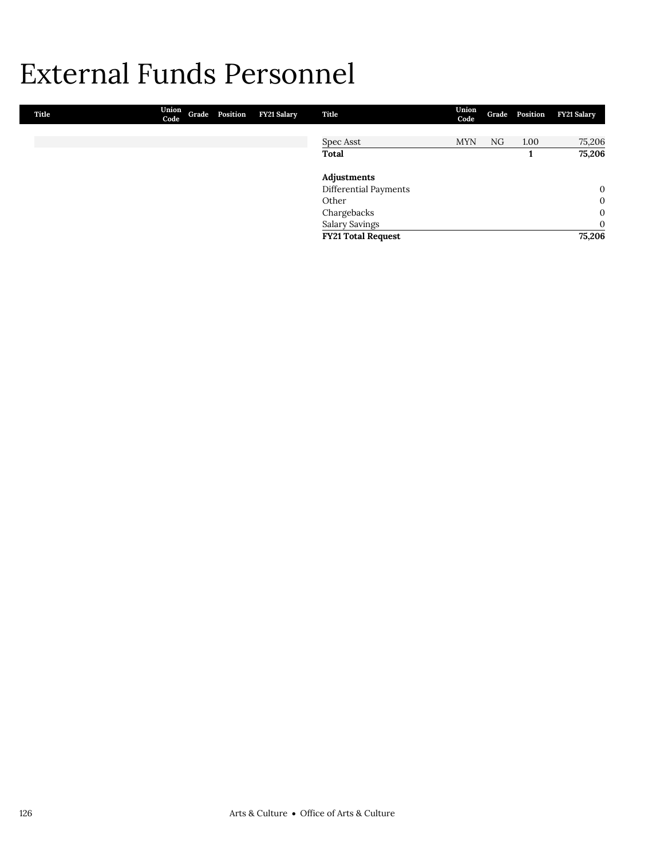## External Funds Personnel

| Title | Union<br>Code | Grade Position | FY21 Salary | Title                     | Union<br>Code |    | Grade Position | <b>FY21 Salary</b> |
|-------|---------------|----------------|-------------|---------------------------|---------------|----|----------------|--------------------|
|       |               |                |             |                           |               |    |                |                    |
|       |               |                |             | Spec Asst                 | <b>MYN</b>    | NG | 1.00           | 75,206             |
|       |               |                |             | <b>Total</b>              |               |    |                | 75,206             |
|       |               |                |             | Adjustments               |               |    |                |                    |
|       |               |                |             | Differential Payments     |               |    |                | $\mathbf{0}$       |
|       |               |                |             | Other                     |               |    |                | $\mathbf{0}$       |
|       |               |                |             | Chargebacks               |               |    |                | $\mathbf{0}$       |
|       |               |                |             | <b>Salary Savings</b>     |               |    |                | $\mathbf{0}$       |
|       |               |                |             | <b>FY21 Total Request</b> |               |    |                | 75,206             |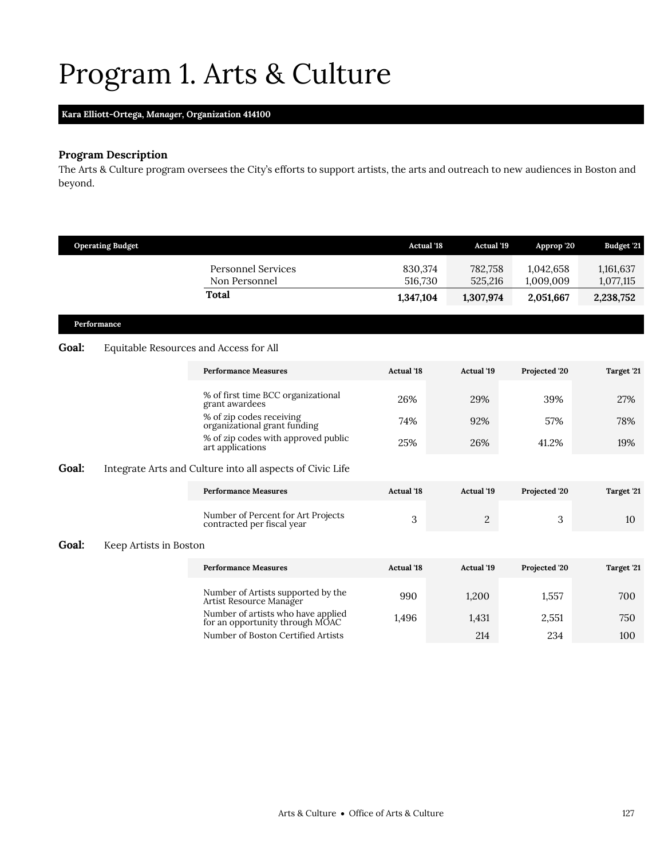## <span id="page-10-0"></span>Program 1. Arts & Culture

## **Kara Elliott-Ortega,** *Manager,* **Organization 414100**

## **Program Description**

The Arts & Culture program oversees the City's efforts to support artists, the arts and outreach to new audiences in Boston and beyond.

|       | <b>Operating Budget</b> |                                                                       | <b>Actual</b> '18  | <b>Actual</b> '19  | Approp '20             | <b>Budget '21</b>      |
|-------|-------------------------|-----------------------------------------------------------------------|--------------------|--------------------|------------------------|------------------------|
|       |                         | <b>Personnel Services</b><br>Non Personnel                            | 830,374<br>516,730 | 782,758<br>525,216 | 1,042,658<br>1,009,009 | 1,161,637<br>1,077,115 |
|       |                         | <b>Total</b>                                                          | 1,347,104          | 1,307,974          | 2,051,667              | 2,238,752              |
|       | Performance             |                                                                       |                    |                    |                        |                        |
| Goal: |                         | Equitable Resources and Access for All                                |                    |                    |                        |                        |
|       |                         | <b>Performance Measures</b>                                           | <b>Actual</b> '18  | Actual '19         | Projected '20          | Target '21             |
|       |                         | % of first time BCC organizational<br>grant awardees                  | 26%                | 29%                | 39%                    | 27%                    |
|       |                         | % of zip codes receiving<br>organizational grant funding              | 74%                | 92%                | 57%                    | 78%                    |
|       |                         | % of zip codes with approved public<br>art applications               | 25%                | 26%                | 41.2%                  | 19%                    |
| Goal: |                         | Integrate Arts and Culture into all aspects of Civic Life             |                    |                    |                        |                        |
|       |                         | <b>Performance Measures</b>                                           | <b>Actual</b> '18  | <b>Actual '19</b>  | Projected '20          | Target '21             |
|       |                         | Number of Percent for Art Projects<br>contracted per fiscal year      | 3                  | $\overline{c}$     | 3                      | 10                     |
| Goal: | Keep Artists in Boston  |                                                                       |                    |                    |                        |                        |
|       |                         | <b>Performance Measures</b>                                           | <b>Actual</b> '18  | <b>Actual '19</b>  | Projected '20          | Target '21             |
|       |                         | Number of Artists supported by the<br>Artist Resource Manager         | 990                | 1,200              | 1,557                  | 700                    |
|       |                         | Number of artists who have applied<br>for an opportunity through MOAC | 1,496              | 1,431              | 2,551                  | 750                    |
|       |                         | Number of Boston Certified Artists                                    |                    | 214                | 234                    | 100                    |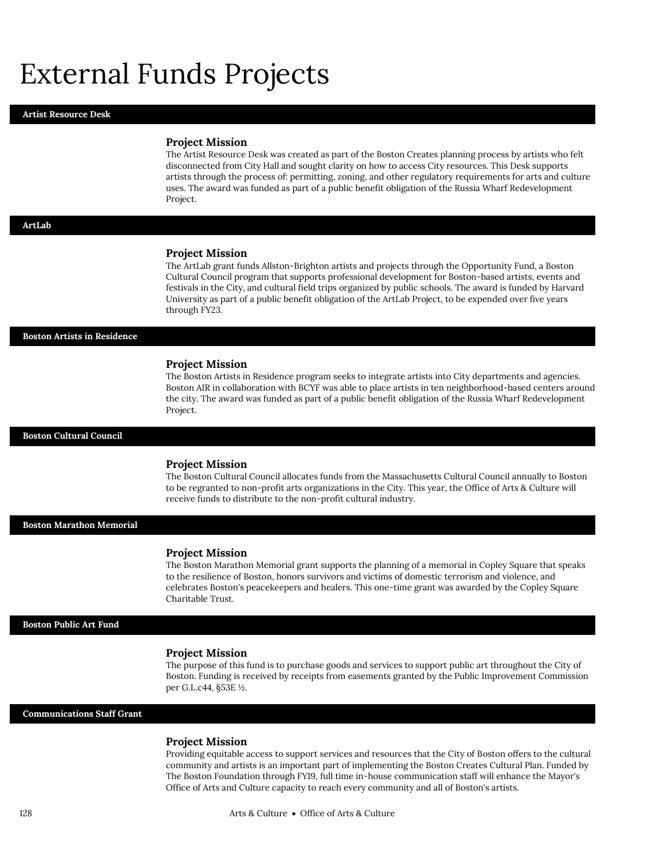## External Funds Projects

#### **Artist Resource Desk**

#### **Project Mission**

The Artist Resource Desk was created as part of the Boston Creates planning process by artists who felt disconnected from City Hall and sought clarity on how to access City resources. This Desk supports artists through the process of: permitting, zoning, and other regulatory requirements for arts and culture uses. The award was funded as part of a public benefit obligation of the Russia Wharf Redevelopment Project.

#### **ArtLab**

#### **Project Mission**

The ArtLab grant funds Allston-Brighton artists and projects through the Opportunity Fund, a Boston Cultural Council program that supports professional development for Boston-based artists, events and festivals in the City, and cultural field trips organized by public schools. The award is funded by Harvard University as part of a public benefit obligation of the ArtLab Project, to be expended over five years through FY23.

**Boston Artists in Residence**

#### **Project Mission**

The Boston Artists in Residence program seeks to integrate artists into City departments and agencies. Boston AIR in collaboration with BCYF was able to place artists in ten neighborhood-based centers around the city. The award was funded as part of a public benefit obligation of the Russia Wharf Redevelopment Project.

**Boston Cultural Council**

#### **Project Mission**

The Boston Cultural Council allocates funds from the Massachusetts Cultural Council annually to Boston to be regranted to non-profit arts organizations in the City. This year, the Office of Arts & Culture will receive funds to distribute to the non-profit cultural industry.

**Boston Marathon Memorial**

#### **Project Mission**

The Boston Marathon Memorial grant supports the planning of a memorial in Copley Square that speaks to the resilience of Boston, honors survivors and victims of domestic terrorism and violence, and celebrates Boston's peacekeepers and healers. This one-time grant was awarded by the Copley Square Charitable Trust.

#### **Boston Public Art Fund**

#### **Project Mission**

The purpose of this fund is to purchase goods and services to support public art throughout the City of Boston. Funding is received by receipts from easements granted by the Public Improvement Commission per G.L.c44, §53E ½.

#### **Communications Staff Grant**

#### **Project Mission**

Providing equitable access to support services and resources that the City of Boston offers to the cultural community and artists is an important part of implementing the Boston Creates Cultural Plan. Funded by The Boston Foundation through FY19, full time in-house communication staff will enhance the Mayor's Office of Arts and Culture capacity to reach every community and all of Boston's artists.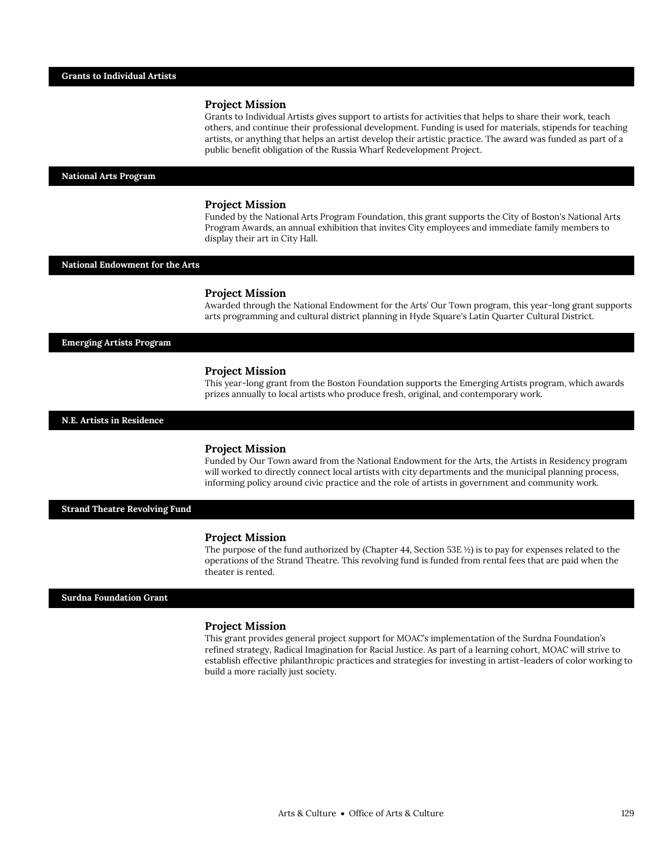## **Project Mission**

Grants to Individual Artists gives support to artists for activities that helps to share their work, teach others, and continue their professional development. Funding is used for materials, stipends for teaching artists, or anything that helps an artist develop their artistic practice. The award was funded as part of a public benefit obligation of the Russia Wharf Redevelopment Project.

#### **National Arts Program**

#### **Project Mission**

Funded by the National Arts Program Foundation, this grant supports the City of Boston's National Arts Program Awards, an annual exhibition that invites City employees and immediate family members to display their art in City Hall.

#### **National Endowment for the Arts**

#### **Project Mission**

Awarded through the National Endowment for the Arts' Our Town program, this year-long grant supports arts programming and cultural district planning in Hyde Square's Latin Quarter Cultural District.

#### **Emerging Artists Program**

#### **Project Mission**

This year-long grant from the Boston Foundation supports the Emerging Artists program, which awards prizes annually to local artists who produce fresh, original, and contemporary work.

#### **N.E. Artists in Residence**

#### **Project Mission**

Funded by Our Town award from the National Endowment for the Arts, the Artists in Residency program will worked to directly connect local artists with city departments and the municipal planning process, informing policy around civic practice and the role of artists in government and community work.

#### **Strand Theatre Revolving Fund**

#### **Project Mission**

The purpose of the fund authorized by (Chapter 44, Section 53E ½) is to pay for expenses related to the operations of the Strand Theatre. This revolving fund is funded from rental fees that are paid when the theater is rented.

#### **Surdna Foundation Grant**

#### **Project Mission**

This grant provides general project support for MOAC's implementation of the Surdna Foundation's refined strategy, Radical Imagination for Racial Justice. As part of a learning cohort, MOAC will strive to establish effective philanthropic practices and strategies for investing in artist-leaders of color working to build a more racially just society.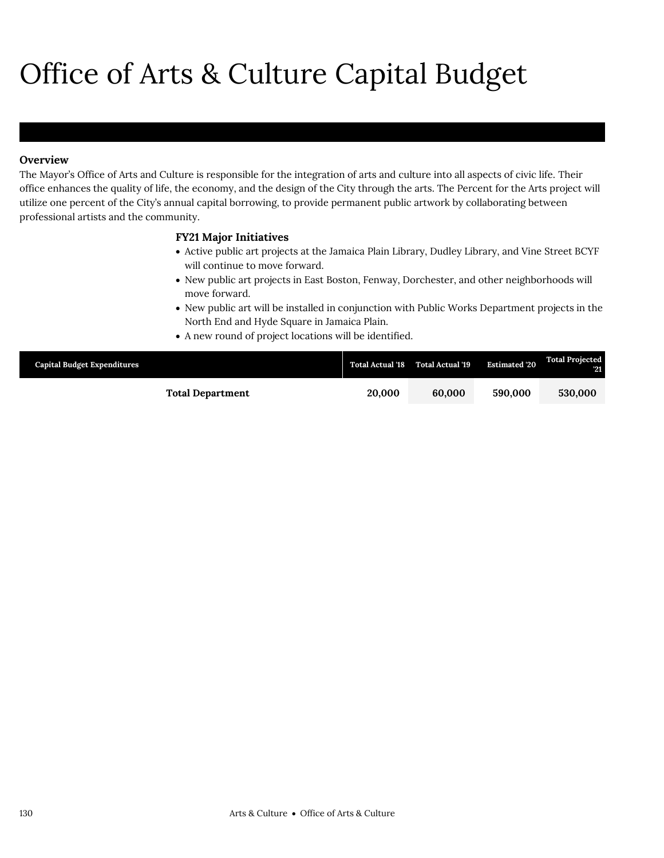# Office of Arts & Culture Capital Budget

## **Overview**

The Mayor's Office of Arts and Culture is responsible for the integration of arts and culture into all aspects of civic life. Their office enhances the quality of life, the economy, and the design of the City through the arts. The Percent for the Arts project will utilize one percent of the City's annual capital borrowing, to provide permanent public artwork by collaborating between professional artists and the community.

## **FY21 Major Initiatives**

- Active public art projects at the Jamaica Plain Library, Dudley Library, and Vine Street BCYF will continue to move forward.
- New public art projects in East Boston, Fenway, Dorchester, and other neighborhoods will move forward.
- New public art will be installed in conjunction with Public Works Department projects in the North End and Hyde Square in Jamaica Plain.
- A new round of project locations will be identified.

| <b>Capital Budget Expenditures</b> |        | Total Actual '18 Total Actual '19 | <b>Estimated '20</b> | <b>Total Projected</b><br>-21 |
|------------------------------------|--------|-----------------------------------|----------------------|-------------------------------|
| <b>Total Department</b>            | 20,000 | 60,000                            | 590,000              | 530,000                       |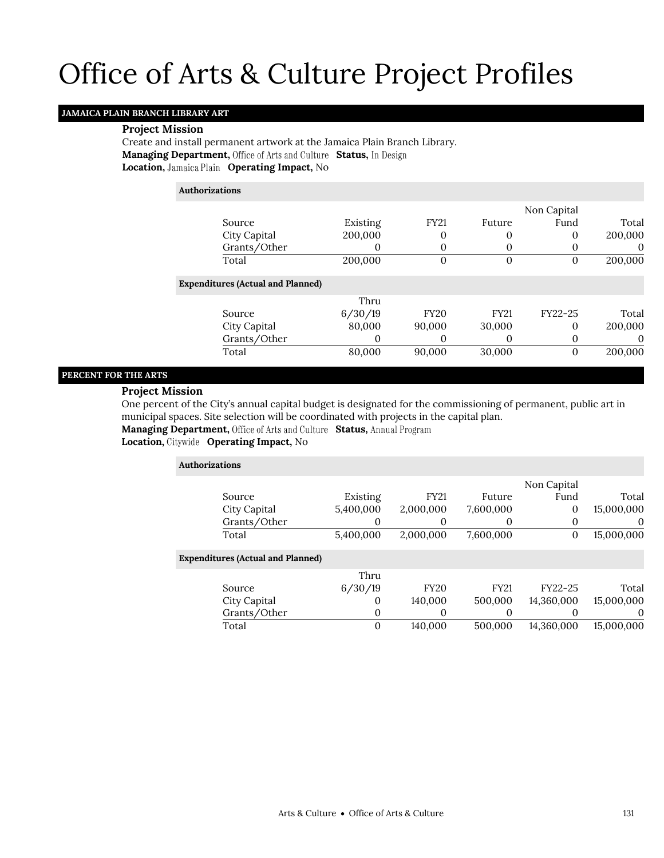## Office of Arts & Culture Project Profiles

## **JAMAICA PLAIN BRANCH LIBRARY ART**

### **Project Mission**

Create and install permanent artwork at the Jamaica Plain Branch Library. **Managing Department, Office of Arts and Culture Status, In Design Location, Jamaica Plain Operating Impact, No** 

### **Authorizations**

|                                          |          |             |             | Non Capital |          |
|------------------------------------------|----------|-------------|-------------|-------------|----------|
| Source                                   | Existing | <b>FY21</b> | Future      | Fund        | Total    |
| City Capital                             | 200,000  | 0           | 0           | 0           | 200,000  |
| Grants/Other                             |          | 0           | 0           |             | 0        |
| Total                                    | 200,000  | 0           | 0           |             | 200,000  |
| <b>Expenditures (Actual and Planned)</b> |          |             |             |             |          |
|                                          | Thru     |             |             |             |          |
| Source                                   | 6/30/19  | <b>FY20</b> | <b>FY21</b> | FY22-25     | Total    |
| City Capital                             | 80,000   | 90,000      | 30,000      | 0           | 200,000  |
| Grants/Other                             | O        | 0           |             | 0           | $\theta$ |
| Total                                    | 80,000   | 90,000      | 30,000      |             | 200,000  |

## **PERCENT FOR THE ARTS**

## **Project Mission**

One percent of the City's annual capital budget is designated for the commissioning of permanent, public art in municipal spaces. Site selection will be coordinated with projects in the capital plan.

Managing Department, Office of Arts and Culture Status, Annual Program

| <b>Authorizations</b>                    |           |              |             |             |            |
|------------------------------------------|-----------|--------------|-------------|-------------|------------|
|                                          |           |              |             | Non Capital |            |
| Source                                   | Existing  | <b>FY21</b>  | Future      | Fund        | Total      |
| City Capital                             | 5,400,000 | 2,000,000    | 7,600,000   | 0           | 15,000,000 |
| Grants/Other                             | 0         | 0            | $\Omega$    | 0           | $\theta$   |
| Total                                    | 5,400,000 | 2,000,000    | 7,600,000   | 0           | 15,000,000 |
| <b>Expenditures (Actual and Planned)</b> |           |              |             |             |            |
|                                          | Thru      |              |             |             |            |
| Source                                   | 6/30/19   | <b>FY20</b>  | <b>FY21</b> | FY22-25     | Total      |
| City Capital                             | $\theta$  | 140,000      | 500,000     | 14,360,000  | 15,000,000 |
| Grants/Other                             |           | 0<br>0       | 0           |             | $\Omega$   |
| Total                                    |           | 0<br>140,000 | 500,000     | 14,360,000  | 15,000,000 |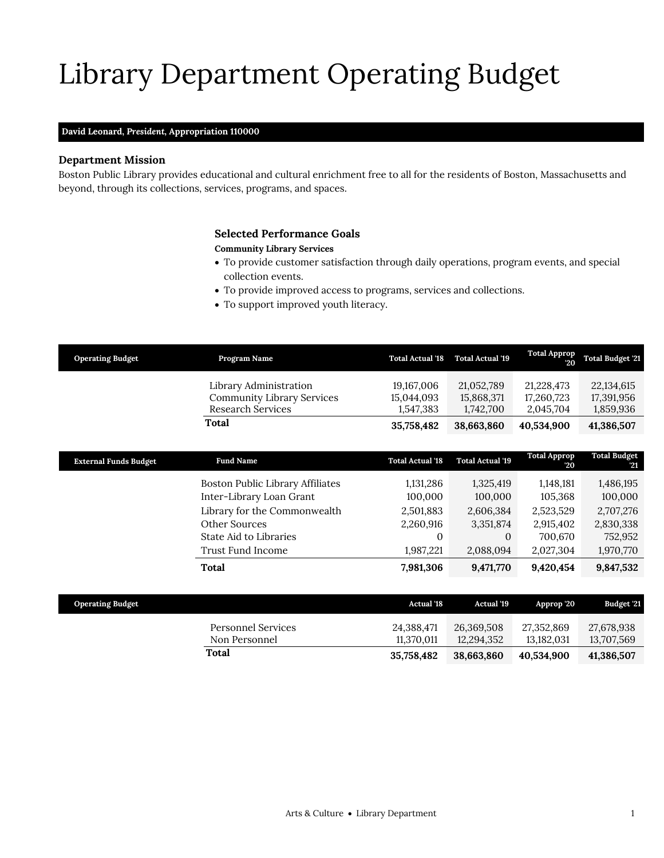# Library Department Operating Budget

## **David Leonard,** *President,* **Appropriation 110000**

## **Department Mission**

Boston Public Library provides educational and cultural enrichment free to all for the residents of Boston, Massachusetts and beyond, through its collections, services, programs, and spaces.

## <span id="page-16-0"></span>**Selected Performance Goals**

## **Community Library Services**

- To provide customer satisfaction through daily operations, program events, and special collection events.
- To provide improved access to programs, services and collections.
- To support improved youth literacy.

| <b>Operating Budget</b>      | Program Name                      | <b>Total Actual '18</b> | <b>Total Actual '19</b> | <b>Total Approp</b><br>20 | <b>Total Budget '21</b>   |
|------------------------------|-----------------------------------|-------------------------|-------------------------|---------------------------|---------------------------|
|                              | Library Administration            | 19,167,006              | 21,052,789              | 21,228,473                | 22,134,615                |
|                              | <b>Community Library Services</b> | 15,044,093              | 15,868,371              | 17,260,723                | 17,391,956                |
|                              | Research Services                 | 1,547,383               | 1,742,700               | 2,045,704                 | 1,859,936                 |
|                              | Total                             | 35,758,482              | 38,663,860              | 40,534,900                | 41,386,507                |
|                              |                                   |                         |                         |                           |                           |
| <b>External Funds Budget</b> | <b>Fund Name</b>                  | <b>Total Actual '18</b> | <b>Total Actual '19</b> | <b>Total Approp</b><br>20 | <b>Total Budget</b><br>21 |
|                              | Boston Public Library Affiliates  | 1,131,286               | 1,325,419               | 1,148,181                 | 1,486,195                 |
|                              | Inter-Library Loan Grant          | 100,000                 | 100,000                 | 105,368                   | 100,000                   |
|                              | Library for the Commonwealth      | 2,501,883               | 2,606,384               | 2,523,529                 | 2,707,276                 |
|                              | Other Sources                     | 2,260,916               | 3,351,874               | 2,915,402                 | 2,830,338                 |
|                              | State Aid to Libraries            | $\Omega$                | $\Omega$                | 700,670                   | 752,952                   |
|                              | Trust Fund Income                 | 1,987,221               | 2,088,094               | 2,027,304                 | 1,970,770                 |
|                              | Total                             | 7,981,306               | 9,471,770               | 9,420,454                 | 9,847,532                 |
|                              |                                   |                         |                         |                           |                           |

| <b>Operating Budget</b>             | <b>Actual</b> '18        | <b>Actual</b> '19        | Approp '20               | Budget '21               |
|-------------------------------------|--------------------------|--------------------------|--------------------------|--------------------------|
| Personnel Services<br>Non Personnel | 24,388,471<br>11.370.011 | 26,369,508<br>12.294.352 | 27,352,869<br>13.182.031 | 27,678,938<br>13,707,569 |
| Total                               | 35.758.482               | 38.663.860               | 40.534.900               | 41,386,507               |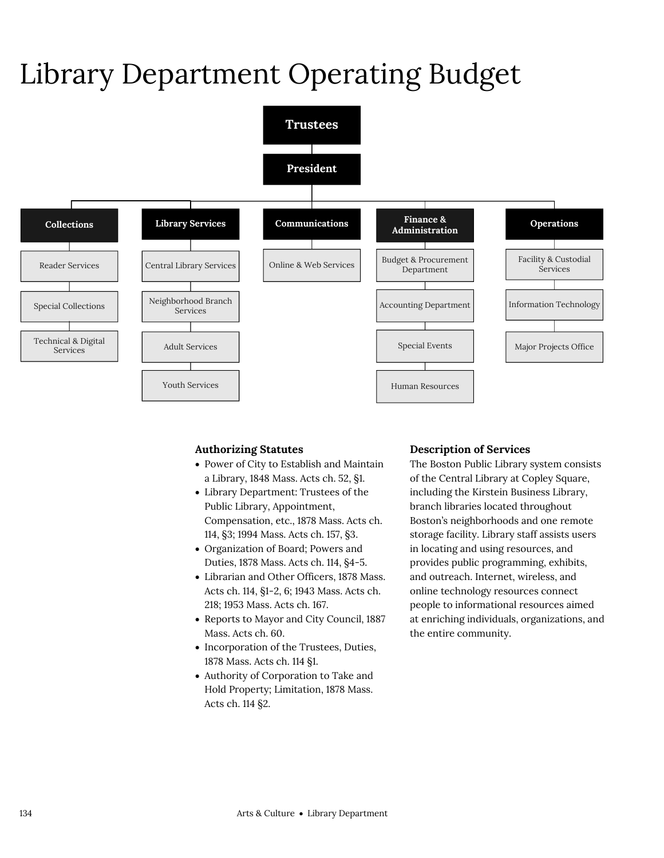## Library Department Operating Budget



## **Authorizing Statutes**

- Power of City to Establish and Maintain a Library, 1848 Mass. Acts ch. 52, §1.
- Library Department: Trustees of the Public Library, Appointment, Compensation, etc., 1878 Mass. Acts ch. 114, §3; 1994 Mass. Acts ch. 157, §3.
- Organization of Board; Powers and Duties, 1878 Mass. Acts ch. 114, §4-5.
- Librarian and Other Officers, 1878 Mass. Acts ch. 114, §1-2, 6; 1943 Mass. Acts ch. 218; 1953 Mass. Acts ch. 167.
- Reports to Mayor and City Council, 1887 Mass. Acts ch. 60.
- Incorporation of the Trustees, Duties, 1878 Mass. Acts ch. 114 §1.
- Authority of Corporation to Take and Hold Property; Limitation, 1878 Mass. Acts ch. 114 §2.

## **Description of Services**

The Boston Public Library system consists of the Central Library at Copley Square, including the Kirstein Business Library, branch libraries located throughout Boston's neighborhoods and one remote storage facility. Library staff assists users in locating and using resources, and provides public programming, exhibits, and outreach. Internet, wireless, and online technology resources connect people to informational resources aimed at enriching individuals, organizations, and the entire community.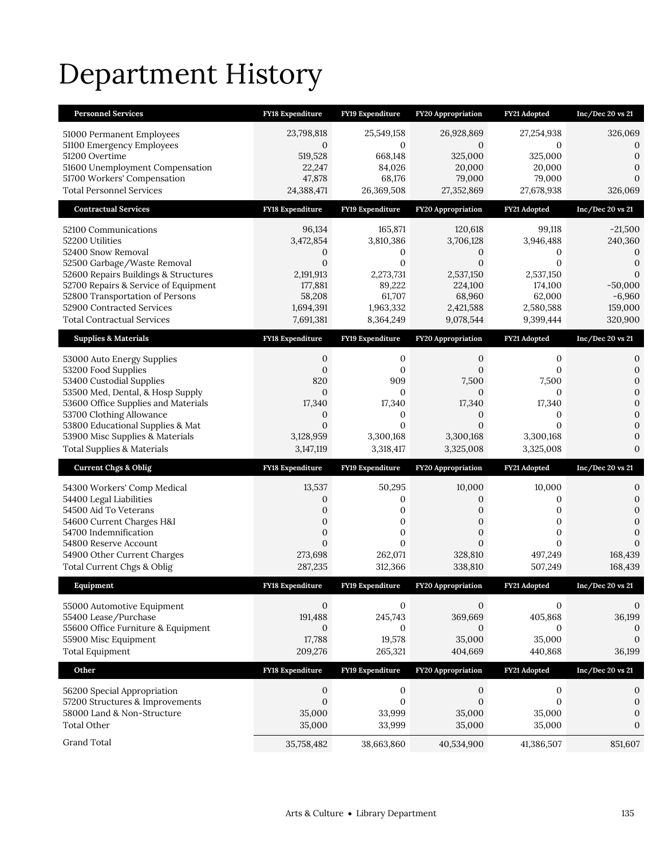## Department History

| <b>Personnel Services</b>                                           | <b>FY18 Expenditure</b>       | FY19 Expenditure              | <b>FY20 Appropriation</b>  | FY21 Adopted              | Inc/Dec 20 vs 21                 |
|---------------------------------------------------------------------|-------------------------------|-------------------------------|----------------------------|---------------------------|----------------------------------|
| 51000 Permanent Employees<br>51100 Emergency Employees              | 23,798,818<br>$\mathbf{0}$    | 25,549,158<br>0               | 26,928,869<br>$\mathbf{0}$ | 27,254,938<br>0           | 326,069<br>$\boldsymbol{0}$      |
| 51200 Overtime                                                      | 519,528                       | 668,148                       | 325,000                    | 325,000                   | $\mathbf{0}$                     |
| 51600 Unemployment Compensation                                     | 22,247                        | 84,026                        | 20,000                     | 20,000                    | $\mathbf{0}$                     |
| 51700 Workers' Compensation                                         | 47,878                        | 68,176                        | 79,000                     | 79,000                    | $\mathbf{0}$                     |
| <b>Total Personnel Services</b>                                     | 24,388,471                    | 26,369,508                    | 27,352,869                 | 27,678,938                | 326,069                          |
| <b>Contractual Services</b>                                         | FY18 Expenditure              | FY19 Expenditure              | FY20 Appropriation         | FY21 Adopted              | Inc/Dec 20 vs 21                 |
| 52100 Communications                                                | 96,134                        | 165,871                       | 120,618                    | 99,118                    | $-21,500$                        |
| 52200 Utilities                                                     | 3,472,854                     | 3,810,386                     | 3,706,128                  | 3,946,488                 | 240,360                          |
| 52400 Snow Removal                                                  | 0                             | 0                             | 0                          | 0                         | 0                                |
| 52500 Garbage/Waste Removal<br>52600 Repairs Buildings & Structures | $\boldsymbol{0}$<br>2,191,913 | $\boldsymbol{0}$<br>2,273,731 | $\mathbf{0}$<br>2,537,150  | $\mathbf{0}$<br>2,537,150 | $\mathbf{0}$<br>$\mathbf{0}$     |
| 52700 Repairs & Service of Equipment                                | 177,881                       | 89,222                        | 224,100                    | 174,100                   | $-50,000$                        |
| 52800 Transportation of Persons                                     | 58,208                        | 61,707                        | 68,960                     | 62,000                    | $-6,960$                         |
| 52900 Contracted Services                                           | 1,694,391                     | 1,963,332                     | 2,421,588                  | 2,580,588                 | 159,000                          |
| <b>Total Contractual Services</b>                                   | 7,691,381                     | 8,364,249                     | 9,078,544                  | 9,399,444                 | 320,900                          |
| <b>Supplies &amp; Materials</b>                                     | <b>FY18 Expenditure</b>       | FY19 Expenditure              | <b>FY20 Appropriation</b>  | FY21 Adopted              | Inc/Dec 20 vs 21                 |
| 53000 Auto Energy Supplies                                          | 0                             | 0                             | 0                          | $\mathbf{0}$              | 0                                |
| 53200 Food Supplies                                                 | $\mathbf{0}$                  | 0                             | 0                          | $\mathbf{0}$              | $\mathbf{0}$                     |
| 53400 Custodial Supplies<br>53500 Med, Dental, & Hosp Supply        | 820<br>$\mathbf{0}$           | 909<br>0                      | 7,500<br>0                 | 7,500<br>$\mathbf{0}$     | $\mathbf{0}$<br>$\boldsymbol{0}$ |
| 53600 Office Supplies and Materials                                 | 17,340                        | 17,340                        | 17,340                     | 17,340                    | $\mathbf{0}$                     |
| 53700 Clothing Allowance                                            | $\mathbf{0}$                  | 0                             | 0                          | 0                         | $\mathbf{0}$                     |
| 53800 Educational Supplies & Mat                                    | $\overline{0}$                | $\mathbf{0}$                  | $\overline{0}$             | $\mathbf{0}$              | $\boldsymbol{0}$                 |
|                                                                     |                               |                               |                            |                           |                                  |
| 53900 Misc Supplies & Materials                                     | 3,128,959                     | 3,300,168                     | 3,300,168                  | 3,300,168                 | $\mathbf{0}$                     |
| <b>Total Supplies &amp; Materials</b>                               | 3,147,119                     | 3,318,417                     | 3,325,008                  | 3,325,008                 | $\mathbf{0}$                     |
| <b>Current Chgs &amp; Oblig</b>                                     | <b>FY18 Expenditure</b>       | FY19 Expenditure              | <b>FY20 Appropriation</b>  | FY21 Adopted              | Inc/Dec 20 vs 21                 |
| 54300 Workers' Comp Medical                                         | 13,537                        | 50,295                        | 10,000                     | 10,000                    | 0                                |
| 54400 Legal Liabilities                                             | 0                             | 0                             | 0                          | 0                         | $\mathbf{0}$                     |
| 54500 Aid To Veterans                                               | 0                             | $\boldsymbol{0}$              | 0                          | $\mathbf{0}$              | $\boldsymbol{0}$                 |
| 54600 Current Charges H&I                                           | $\overline{0}$                | $\mathbf{0}$                  | $\overline{0}$             | $\mathbf{0}$              | $\mathbf{0}$                     |
| 54700 Indemnification<br>54800 Reserve Account                      | 0<br>$\overline{0}$           | 0<br>$\overline{0}$           | 0<br>$\overline{0}$        | 0<br>$\mathbf{0}$         | $\mathbf{0}$<br>$\mathbf{0}$     |
| 54900 Other Current Charges                                         | 273,698                       | 262,071                       | 328,810                    | 497,249                   | 168,439                          |
| Total Current Chgs & Oblig                                          | 287,235                       | 312,366                       | 338,810                    | 507,249                   | 168,439                          |
| Equipment                                                           | <b>FY18 Expenditure</b>       | FY19 Expenditure              | <b>FY20</b> Appropriation  | FY21 Adopted              | Inc/Dec 20 vs 21                 |
| 55000 Automotive Equipment                                          | $\mathbf{0}$                  | 0                             | $\mathbf{0}$               | 0                         | 0                                |
| 55400 Lease/Purchase                                                | 191,488                       | 245,743                       | 369,669                    | 405,868                   | 36,199                           |
| 55600 Office Furniture & Equipment                                  | $\mathbf{0}$                  | 0                             | $\mathbf{0}$               | $\mathbf{0}$              | $\mathbf 0$                      |
| 55900 Misc Equipment                                                | 17,788                        | 19,578                        | 35,000                     | 35,000                    | $\mathbf{0}$                     |
| <b>Total Equipment</b>                                              | 209,276                       | 265,321                       | 404,669                    | 440,868                   | 36,199                           |
| Other                                                               | FY18 Expenditure              | FY19 Expenditure              | FY20 Appropriation         | FY21 Adopted              | Inc/Dec 20 vs 21                 |
| 56200 Special Appropriation                                         | 0                             | 0                             | $\mathbf{0}$               | $\boldsymbol{0}$          | 0                                |
| 57200 Structures & Improvements                                     | $\boldsymbol{0}$              | $\boldsymbol{0}$              | $\mathbf{0}$               | $\boldsymbol{0}$          | $\boldsymbol{0}$                 |
| 58000 Land & Non-Structure                                          | 35,000                        | 33,999                        | 35,000                     | 35,000                    | $\boldsymbol{0}$                 |
| <b>Total Other</b><br>Grand Total                                   | 35,000<br>35,758,482          | 33,999<br>38,663,860          | 35,000<br>40,534,900       | 35,000<br>41,386,507      | $\boldsymbol{0}$<br>851,607      |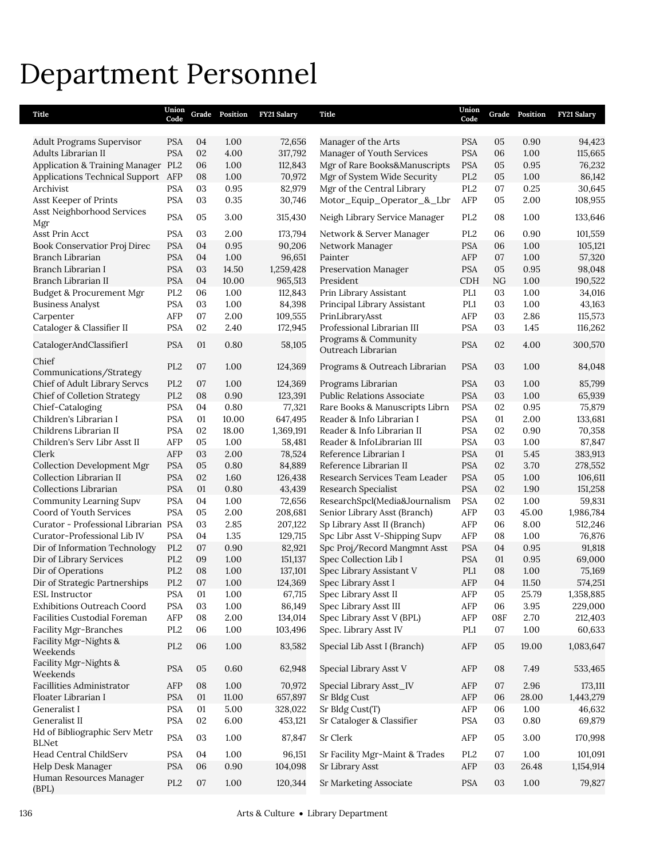## Department Personnel

| Title                                                           | Union<br>Code   |          | Grade Position | FY21 Salary        | <b>Title</b>                                                | Union<br>Code   |          | Grade Position | <b>FY21 Salary</b>   |
|-----------------------------------------------------------------|-----------------|----------|----------------|--------------------|-------------------------------------------------------------|-----------------|----------|----------------|----------------------|
| Adult Programs Supervisor                                       | <b>PSA</b>      | 04       | 1.00           | 72,656             | Manager of the Arts                                         | <b>PSA</b>      | 05       | 0.90           | 94,423               |
| Adults Librarian II                                             | <b>PSA</b>      | 02       | 4.00           | 317,792            | Manager of Youth Services                                   | <b>PSA</b>      | 06       | 1.00           | 115,665              |
| Application & Training Manager PL2                              |                 | 06       | 1.00           | 112,843            | Mgr of Rare Books&Manuscripts                               | <b>PSA</b>      | 05       | 0.95           | 76,232               |
| Applications Technical Support AFP                              |                 | 08       | 1.00           | 70,972             | Mgr of System Wide Security                                 | PL <sub>2</sub> | 05       | 1.00           | 86,142               |
| Archivist                                                       | <b>PSA</b>      | 03       | 0.95           | 82,979             | Mgr of the Central Library                                  | PL <sub>2</sub> | 07       | 0.25           | 30,645               |
| Asst Keeper of Prints                                           | <b>PSA</b>      | 03       | 0.35           | 30,746             | Motor_Equip_Operator_&_Lbr                                  | AFP             | 05       | 2.00           | 108,955              |
| Asst Neighborhood Services<br>Mgr                               | <b>PSA</b>      | 05       | 3.00           | 315,430            | Neigh Library Service Manager                               | PL <sub>2</sub> | 08       | 1.00           | 133,646              |
| Asst Prin Acct                                                  | <b>PSA</b>      | 03       | 2.00           | 173,794            | Network & Server Manager                                    | PL <sub>2</sub> | 06       | 0.90           | 101,559              |
| Book Conservatior Proj Direc                                    | <b>PSA</b>      | 04       | 0.95           | 90,206             | Network Manager                                             | <b>PSA</b>      | 06       | 1.00           | 105,121              |
| Branch Librarian                                                | <b>PSA</b>      | 04       | 1.00           | 96,651             | Painter                                                     | AFP             | 07       | 1.00           | 57,320               |
| Branch Librarian I                                              | <b>PSA</b>      | 03       | 14.50          | 1,259,428          | Preservation Manager                                        | <b>PSA</b>      | 05       | 0.95           | 98,048               |
| Branch Librarian II                                             | <b>PSA</b>      | 04       | 10.00          | 965,513            | President                                                   | <b>CDH</b>      | NG       | 1.00           | 190,522              |
| Budget & Procurement Mgr                                        | PL <sub>2</sub> | 06       | 1.00           | 112,843            | Prin Library Assistant                                      | PL1             | 03       | 1.00           | 34,016               |
| <b>Business Analyst</b>                                         | <b>PSA</b>      | 03       | 1.00           | 84,398             | Principal Library Assistant                                 | PL1             | 03       | 1.00           | 43,163               |
| Carpenter                                                       | AFP             | 07       | 2.00           | 109,555            | PrinLibraryAsst                                             | AFP             | 03       | 2.86           | 115,573              |
| Cataloger & Classifier II                                       | <b>PSA</b>      | 02       | 2.40           | 172,945            | Professional Librarian III                                  | <b>PSA</b>      | 03       | 1.45           | 116,262              |
| CatalogerAndClassifierI                                         | <b>PSA</b>      | 01       | 0.80           | 58,105             | Programs & Community<br>Outreach Librarian                  | <b>PSA</b>      | 02       | 4.00           | 300,570              |
| Chief<br>Communications/Strategy                                | PL <sub>2</sub> | 07       | 1.00           | 124,369            | Programs & Outreach Librarian                               | <b>PSA</b>      | 03       | 1.00           | 84,048               |
| Chief of Adult Library Servcs                                   | PL <sub>2</sub> | 07       | 1.00           | 124,369            | Programs Librarian                                          | <b>PSA</b>      | 03       | 1.00           | 85,799               |
| <b>Chief of Colletion Strategy</b>                              | PL <sub>2</sub> | 08       | 0.90           | 123,391            | Public Relations Associate                                  | <b>PSA</b>      | 03       | 1.00           | 65,939               |
| Chief-Cataloging                                                | <b>PSA</b>      | 04       | 0.80           | 77,321             | Rare Books & Manuscripts Librn                              | <b>PSA</b>      | 02       | 0.95           | 75,879               |
| Children's Librarian I                                          | <b>PSA</b>      | 01       | 10.00          | 647,495            | Reader & Info Librarian I                                   | <b>PSA</b>      | 01       | 2.00           | 133,681              |
| Childrens Librarian II                                          | <b>PSA</b>      | 02       | 18.00          | 1,369,191          | Reader & Info Librarian II                                  | <b>PSA</b>      | 02       | 0.90           | 70,358               |
| Children's Serv Libr Asst II                                    | AFP             | 05       | 1.00           | 58,481             | Reader & InfoLibrarian III                                  | <b>PSA</b>      | 03       | 1.00           | 87,847               |
| Clerk                                                           | AFP             | 03       | 2.00           | 78,524             | Reference Librarian I                                       | <b>PSA</b>      | 01       | 5.45           | 383,913              |
| <b>Collection Development Mgr</b>                               | <b>PSA</b>      | 05       | 0.80           | 84,889             | Reference Librarian II                                      | <b>PSA</b>      | 02       | 3.70           | 278,552              |
| Collection Librarian II                                         | <b>PSA</b>      | 02       | 1.60           | 126,438            | Research Services Team Leader                               | <b>PSA</b>      | 05       | 1.00           | 106,611              |
| Collections Librarian                                           | <b>PSA</b>      | 01       | 0.80           | 43,439             | Research Specialist                                         | <b>PSA</b>      | 02       | 1.90           | 151,258              |
| Community Learning Supv                                         | <b>PSA</b>      | 04       | 1.00           | 72,656             | ResearchSpcl(Media&Journalism                               | <b>PSA</b>      | 02       | 1.00           | 59,831               |
| Coord of Youth Services<br>Curator - Professional Librarian PSA | <b>PSA</b>      | 05<br>03 | 2.00<br>2.85   | 208,681            | Senior Library Asst (Branch)<br>Sp Library Asst II (Branch) | AFP<br>AFP      | 03<br>06 | 45.00<br>8.00  | 1,986,784<br>512,246 |
| Curator-Professional Lib IV                                     | <b>PSA</b>      | 04       | 1.35           | 207,122<br>129,715 | Spc Libr Asst V-Shipping Supv                               | AFP             | 08       | 1.00           | 76,876               |
| Dir of Information Technology                                   | PL <sub>2</sub> | 07       | 0.90           | 82,921             | Spc Proj/Record Mangmnt Asst                                | <b>PSA</b>      | 04       | 0.95           | 91,818               |
| Dir of Library Services                                         | PL <sub>2</sub> | 09       | 1.00           | 151,137            | Spec Collection Lib I                                       | <b>PSA</b>      | 01       | 0.95           | 69,000               |
| Dir of Operations                                               | PL <sub>2</sub> | 08       | 1.00           | 137,101            | Spec Library Assistant V                                    | PL <sub>1</sub> | 08       | 1.00           | 75,169               |
| Dir of Strategic Partnerships                                   | PL <sub>2</sub> | 07       | 1.00           | 124,369            | Spec Library Asst I                                         | AFP             | 04       | 11.50          | 574,251              |
| ESL Instructor                                                  | <b>PSA</b>      | 01       | 1.00           | 67,715             | Spec Library Asst II                                        | AFP             | 05       | 25.79          | 1,358,885            |
| <b>Exhibitions Outreach Coord</b>                               | <b>PSA</b>      | 03       | 1.00           | 86,149             | Spec Library Asst III                                       | AFP             | 06       | $3.95\,$       | 229,000              |
| Facilities Custodial Foreman                                    | AFP             | 08       | 2.00           | 134,014            | Spec Library Asst V (BPL)                                   | AFP             | 08F      | 2.70           | 212,403              |
| Facility Mgr-Branches                                           | PL <sub>2</sub> | 06       | 1.00           | 103,496            | Spec. Library Asst IV                                       | PL1             | 07       | 1.00           | 60,633               |
| Facility Mgr-Nights &<br>Weekends                               | PL <sub>2</sub> | 06       | 1.00           | 83,582             | Special Lib Asst I (Branch)                                 | AFP             | 05       | 19.00          | 1,083,647            |
| Facility Mgr-Nights &<br>Weekends                               | <b>PSA</b>      | 05       | 0.60           | 62,948             | Special Library Asst V                                      | AFP             | 08       | 7.49           | 533,465              |
| Facillities Administrator                                       | AFP             | 08       | 1.00           | 70,972             | Special Library Asst_IV                                     | AFP             | 07       | 2.96           | 173,111              |
| Floater Librarian I                                             | <b>PSA</b>      | 01       | 11.00          | 657,897            | Sr Bldg Cust                                                | AFP             | 06       | 28.00          | 1,443,279            |
| Generalist I                                                    | <b>PSA</b>      | 01       | 5.00           | 328,022            | Sr Bldg Cust(T)                                             | AFP             | 06       | 1.00           | 46,632               |
| Generalist II                                                   | <b>PSA</b>      | 02       | 6.00           | 453,121            | Sr Cataloger & Classifier                                   | <b>PSA</b>      | 03       | $0.80\,$       | 69,879               |
| Hd of Bibliographic Serv Metr<br><b>BLNet</b>                   | <b>PSA</b>      | $03\,$   | 1.00           | 87,847             | Sr Clerk                                                    | AFP             | 05       | 3.00           | 170,998              |
| Head Central ChildServ                                          | <b>PSA</b>      | 04       | 1.00           | 96,151             | Sr Facility Mgr-Maint & Trades                              | PL <sub>2</sub> | 07       | 1.00           | 101,091              |
| Help Desk Manager                                               | <b>PSA</b>      | 06       | 0.90           | 104,098            | Sr Library Asst                                             | AFP             | 03       | 26.48          | 1,154,914            |
| Human Resources Manager<br>(BPL)                                | $\rm PL2$       | 07       | $1.00\,$       | 120,344            | Sr Marketing Associate                                      | PSA             | 03       | $1.00\,$       | 79,827               |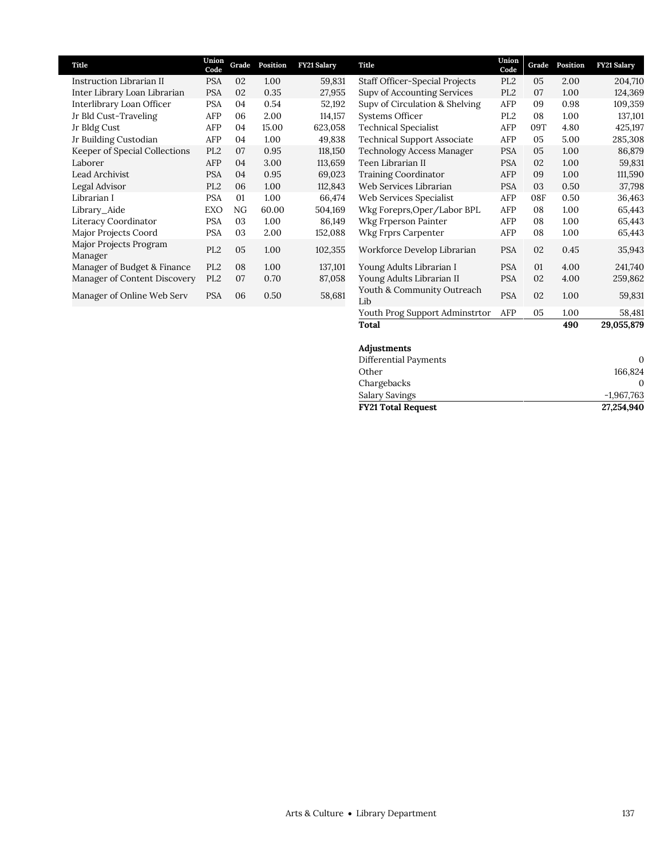| Title                             | Union<br>Code   | Grade | Position | FY21 Salary | Title                                                          | Union<br>Code   | Grade         | Position | <b>FY21 Salary</b> |
|-----------------------------------|-----------------|-------|----------|-------------|----------------------------------------------------------------|-----------------|---------------|----------|--------------------|
| Instruction Librarian II          | <b>PSA</b>      | 02    | 1.00     | 59,831      | <b>Staff Officer-Special Projects</b>                          | PL <sub>2</sub> | 05            | 2.00     | 204,710            |
| Inter Library Loan Librarian      | <b>PSA</b>      | 02    | 0.35     | 27,955      | Supv of Accounting Services                                    | PL <sub>2</sub> | 07            | 1.00     | 124,369            |
| Interlibrary Loan Officer         | <b>PSA</b>      | 04    | 0.54     | 52,192      | Supv of Circulation & Shelving                                 | AFP             | 09            | 0.98     | 109,359            |
| Jr Bld Cust-Traveling             | AFP             | 06    | 2.00     | 114,157     | Systems Officer                                                | PL <sub>2</sub> | 08            | 1.00     | 137,101            |
| Jr Bldg Cust                      | AFP             | 04    | 15.00    | 623,058     | <b>Technical Specialist</b>                                    | AFP             | 09T           | 4.80     | 425,197            |
| Jr Building Custodian             | AFP             | 04    | 1.00     | 49,838      | <b>Technical Support Associate</b>                             | AFP             | 05            | 5.00     | 285,308            |
| Keeper of Special Collections     | PL <sub>2</sub> | 07    | 0.95     | 118,150     | Technology Access Manager                                      | <b>PSA</b>      | 05            | 1.00     | 86,879             |
| Laborer                           | AFP             | 04    | 3.00     | 113,659     | Teen Librarian II                                              | <b>PSA</b>      | 02            | 1.00     | 59,831             |
| Lead Archivist                    | <b>PSA</b>      | 04    | 0.95     | 69,023      | <b>Training Coordinator</b>                                    | AFP             | 09            | 1.00     | 111,590            |
| Legal Advisor                     | PL <sub>2</sub> | 06    | 1.00     | 112,843     | Web Services Librarian                                         | <b>PSA</b>      | 03            | 0.50     | 37,798             |
| Librarian I                       | <b>PSA</b>      | 01    | 1.00     | 66,474      | Web Services Specialist                                        | AFP             | 08F           | 0.50     | 36,463             |
| Library_Aide                      | EXO             | NG    | 60.00    | 504,169     | Wkg Foreprs, Oper/Labor BPL                                    | AFP             | 08            | 1.00     | 65,443             |
| Literacy Coordinator              | <b>PSA</b>      | 03    | 1.00     | 86,149      | Wkg Frperson Painter                                           | AFP             | 08            | 1.00     | 65,443             |
| Major Projects Coord              | <b>PSA</b>      | 03    | 2.00     | 152,088     | Wkg Frprs Carpenter                                            | AFP             | 08            | 1.00     | 65,443             |
| Major Projects Program<br>Manager | PL <sub>2</sub> | 05    | 1.00     | 102,355     | Workforce Develop Librarian                                    | <b>PSA</b>      | 02            | 0.45     | 35,943             |
| Manager of Budget & Finance       | PL <sub>2</sub> | 08    | 1.00     | 137,101     | Young Adults Librarian I                                       | <b>PSA</b>      | 01            | 4.00     | 241,740            |
| Manager of Content Discovery      | PL <sub>2</sub> | 07    | 0.70     | 87,058      | Young Adults Librarian II                                      | <b>PSA</b>      | 02            | 4.00     | 259,862            |
| Manager of Online Web Serv        | <b>PSA</b>      | 06    | 0.50     | 58,681      | Youth & Community Outreach<br>Lib                              | <b>PSA</b>      | 02            | 1.00     | 59,831             |
|                                   |                 |       |          |             | $\mathbf{v}$ at $\mathbf{v}$ and $\mathbf{v}$ and $\mathbf{v}$ | ATD             | $\sim$ $\sim$ | 1.00     | F0.404             |

## Youth Prog Support Adminstrtor AFP 05 1.00 58,481<br>Total 490 29,055,879 **Total 490 29,055,879 Adjustments** Differential Payments 0 Other 166,824 Chargebacks 0 Salary Savings -1,967,763 **FY21 Total Request 27,254,940**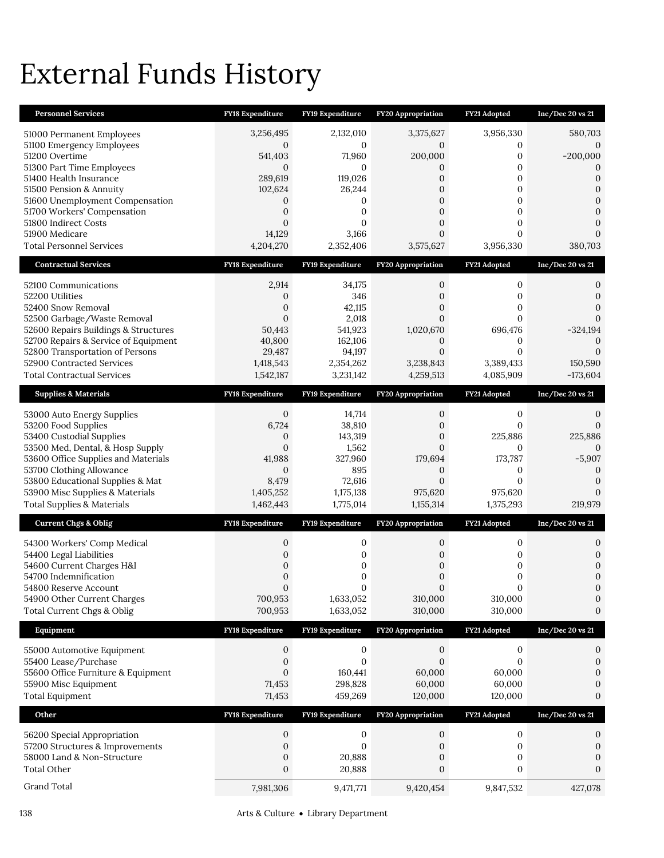# External Funds History

| <b>Personnel Services</b>                                                | FY18 Expenditure                     | FY19 Expenditure                 | FY20 Appropriation               | FY21 Adopted                     | Inc/Dec 20 vs 21                     |
|--------------------------------------------------------------------------|--------------------------------------|----------------------------------|----------------------------------|----------------------------------|--------------------------------------|
| 51000 Permanent Employees                                                | 3,256,495                            | 2,132,010                        | 3,375,627                        | 3,956,330                        | 580,703                              |
| 51100 Emergency Employees                                                | 0                                    | $\mathbf{0}$                     | 0                                | 0                                | 0                                    |
| 51200 Overtime                                                           | 541,403                              | 71,960                           | 200,000                          | 0                                | $-200,000$                           |
| 51300 Part Time Employees<br>51400 Health Insurance                      | $\mathbf{0}$<br>289,619              | $\mathbf{0}$<br>119,026          | 0<br>$\overline{0}$              | $\mathbf{0}$<br>$\mathbf{0}$     | 0<br>$\overline{0}$                  |
| 51500 Pension & Annuity                                                  | 102,624                              | 26,244                           | 0                                | $\boldsymbol{0}$                 | $\Omega$                             |
| 51600 Unemployment Compensation                                          | 0                                    | $\mathbf{0}$                     | $\mathbf{0}$                     | 0                                | $\Omega$                             |
| 51700 Workers' Compensation                                              | $\overline{0}$                       | $\mathbf{0}$                     | $\mathbf{0}$                     | $\mathbf{0}$                     | $\overline{0}$                       |
| 51800 Indirect Costs<br>51900 Medicare                                   | $\mathbf{0}$<br>14,129               | $\mathbf{0}$<br>3,166            | $\mathbf{0}$<br>$\overline{0}$   | $\mathbf{0}$<br>$\overline{0}$   | $\Omega$<br>$\Omega$                 |
| Total Personnel Services                                                 | 4,204,270                            | 2,352,406                        | 3,575,627                        | 3,956,330                        | 380,703                              |
| <b>Contractual Services</b>                                              | <b>FY18 Expenditure</b>              | FY19 Expenditure                 | FY20 Appropriation               | FY21 Adopted                     | Inc/Dec 20 vs 21                     |
| 52100 Communications                                                     | 2,914                                | 34,175                           | 0                                | 0                                | 0                                    |
| 52200 Utilities                                                          | $\mathbf{0}$                         | 346                              | 0                                | 0                                | 0                                    |
| 52400 Snow Removal                                                       | $\boldsymbol{0}$<br>$\mathbf{0}$     | 42,115                           | $\overline{0}$<br>$\overline{0}$ | $\mathbf{0}$<br>$\overline{0}$   | $\Omega$<br>$\Omega$                 |
| 52500 Garbage/Waste Removal<br>52600 Repairs Buildings & Structures      | 50,443                               | 2,018<br>541,923                 | 1,020,670                        | 696,476                          | $-324,194$                           |
| 52700 Repairs & Service of Equipment                                     | 40,800                               | 162,106                          | 0                                | 0                                | $\Omega$                             |
| 52800 Transportation of Persons                                          | 29,487                               | 94,197                           | $\mathbf{0}$                     | 0                                | $\Omega$                             |
| 52900 Contracted Services                                                | 1,418,543                            | 2,354,262                        | 3,238,843                        | 3,389,433                        | 150,590                              |
| <b>Total Contractual Services</b>                                        | 1,542,187                            | 3,231,142                        | 4,259,513                        | 4,085,909                        | $-173,604$                           |
| <b>Supplies &amp; Materials</b>                                          | <b>FY18 Expenditure</b>              | FY19 Expenditure                 | <b>FY20 Appropriation</b>        | FY21 Adopted                     | Inc/Dec 20 vs 21                     |
| 53000 Auto Energy Supplies                                               | $\mathbf{0}$                         | 14,714                           | $\mathbf{0}$                     | 0                                | 0                                    |
| 53200 Food Supplies                                                      | 6,724                                | 38,810                           | $\mathbf{0}$                     | $\Omega$                         | $\Omega$                             |
| 53400 Custodial Supplies<br>53500 Med, Dental, & Hosp Supply             | $\boldsymbol{0}$<br>$\mathbf{0}$     | 143,319<br>1,562                 | $\mathbf{0}$<br>$\overline{0}$   | 225,886<br>$\mathbf{0}$          | 225,886<br>$\Omega$                  |
| 53600 Office Supplies and Materials                                      | 41,988                               | 327,960                          | 179,694                          | 173,787                          | $-5,907$                             |
| 53700 Clothing Allowance                                                 | $\mathbf{0}$                         | 895                              | $\mathbf{0}$                     | 0                                | 0                                    |
| 53800 Educational Supplies & Mat                                         | 8,479<br>1,405,252                   | 72,616                           | $\mathbf{0}$<br>975,620          | $\overline{0}$<br>975,620        | $\Omega$<br>$\overline{0}$           |
| 53900 Misc Supplies & Materials<br><b>Total Supplies &amp; Materials</b> | 1,462,443                            | 1,175,138<br>1,775,014           | 1,155,314                        | 1,375,293                        | 219,979                              |
| <b>Current Chgs &amp; Oblig</b>                                          | FY18 Expenditure                     | FY19 Expenditure                 | FY20 Appropriation               |                                  |                                      |
|                                                                          |                                      |                                  |                                  | FY21 Adopted                     | Inc/Dec 20 vs 21                     |
| 54300 Workers' Comp Medical                                              | 0                                    | 0                                | 0                                | 0                                | 0                                    |
| 54400 Legal Liabilities<br>54600 Current Charges H&I                     | $\boldsymbol{0}$<br>$\boldsymbol{0}$ | $\mathbf{0}$<br>$\boldsymbol{0}$ | $\mathbf{0}$<br>0                | 0<br>0                           | 0<br>$\mathbf{0}$                    |
| 54700 Indemnification                                                    | $\mathbf{0}$                         | $\mathbf{0}$                     | $\mathbf{0}$                     | $\mathbf{0}$                     | $\mathbf{0}$                         |
| 54800 Reserve Account                                                    | $\Omega$                             | $\Omega$                         | $\Omega$                         | $\Omega$                         | $\Omega$                             |
| 54900 Other Current Charges<br>Total Current Chgs & Oblig                | 700,953<br>700,953                   | 1,633,052<br>1,633,052           | 310,000<br>310,000               | 310,000<br>310,000               | $\mathbf{0}$<br>$\mathbf{0}$         |
| Equipment                                                                | FY18 Expenditure                     | FY19 Expenditure                 | FY20 Appropriation               | FY21 Adopted                     | Inc/Dec 20 vs 21                     |
|                                                                          |                                      |                                  |                                  |                                  |                                      |
| 55000 Automotive Equipment                                               | $\boldsymbol{0}$                     | $\boldsymbol{0}$<br>$\mathbf{0}$ | $\mathbf{0}$<br>$\mathbf{0}$     | $\boldsymbol{0}$<br>$\mathbf{0}$ | 0                                    |
| 55400 Lease/Purchase<br>55600 Office Furniture & Equipment               | $\boldsymbol{0}$<br>$\mathbf{0}$     | 160,441                          | 60,000                           | 60,000                           | $\boldsymbol{0}$<br>$\boldsymbol{0}$ |
| 55900 Misc Equipment                                                     | 71,453                               | 298,828                          | 60,000                           | 60,000                           | $\theta$                             |
| <b>Total Equipment</b>                                                   | 71,453                               | 459,269                          | 120,000                          | 120,000                          | $\mathbf{0}$                         |
| Other                                                                    | FY18 Expenditure                     | FY19 Expenditure                 | FY20 Appropriation               | FY21 Adopted                     | Inc/Dec 20 vs 21                     |
| 56200 Special Appropriation                                              | $\boldsymbol{0}$                     | $\mathbf{0}$                     | 0                                | $\boldsymbol{0}$                 | 0                                    |
| 57200 Structures & Improvements                                          | 0                                    | $\mathbf{0}$                     | 0                                | $\boldsymbol{0}$                 | $\boldsymbol{0}$                     |
| 58000 Land & Non-Structure                                               | $\boldsymbol{0}$                     | 20,888                           | $\mathbf{0}$                     | $\mathbf{0}$                     | 0                                    |
| <b>Total Other</b>                                                       | $\mathbf{0}$                         | 20,888                           | $\mathbf{0}$                     | 0                                | $\mathbf{0}$                         |
| Grand Total                                                              | 7,981,306                            | 9,471,771                        | 9,420,454                        | 9,847,532                        | 427,078                              |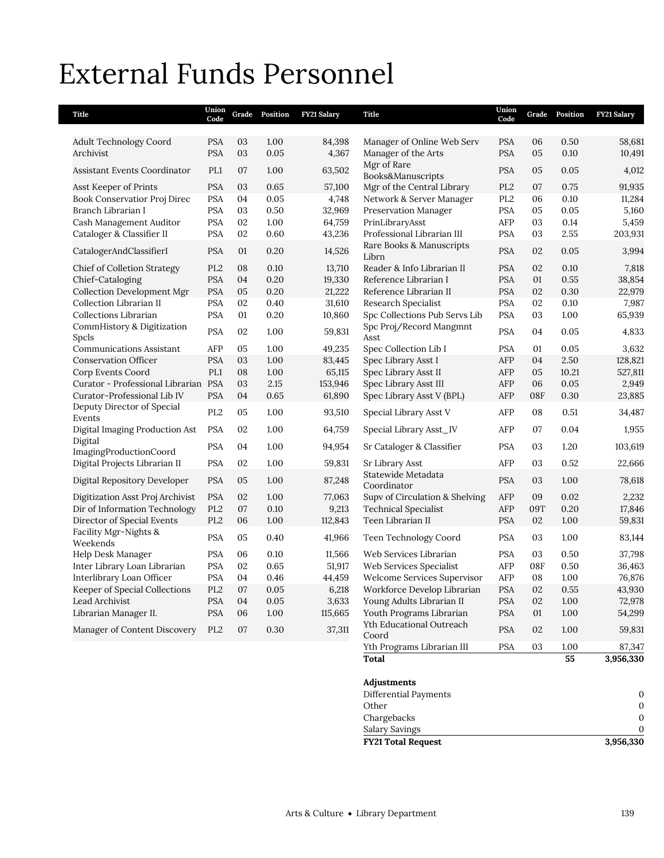## External Funds Personnel

| Title                                                | Union<br>Code                 | Grade    | Position     | FY21 Salary      | Title                                                    | Union<br>Code            | Grade    | Position     | FY21 Salary      |
|------------------------------------------------------|-------------------------------|----------|--------------|------------------|----------------------------------------------------------|--------------------------|----------|--------------|------------------|
|                                                      |                               |          |              |                  |                                                          |                          |          |              |                  |
| <b>Adult Technology Coord</b><br>Archivist           | <b>PSA</b><br><b>PSA</b>      | 03<br>03 | 1.00<br>0.05 | 84,398<br>4,367  | Manager of Online Web Serv                               | <b>PSA</b><br><b>PSA</b> | 06<br>05 | 0.50<br>0.10 | 58,681           |
|                                                      |                               |          |              |                  | Manager of the Arts<br>Mgr of Rare                       |                          |          |              | 10,491           |
| <b>Assistant Events Coordinator</b>                  | PL1                           | 07       | 1.00         | 63,502           | Books&Manuscripts                                        | <b>PSA</b>               | 05       | 0.05         | 4,012            |
| Asst Keeper of Prints                                | <b>PSA</b>                    | 03       | 0.65         | 57,100           | Mgr of the Central Library                               | PL <sub>2</sub>          | 07       | 0.75         | 91,935           |
| Book Conservatior Proj Direc                         | <b>PSA</b>                    | 04       | 0.05         | 4,748            | Network & Server Manager                                 | PL <sub>2</sub>          | 06       | 0.10         | 11,284           |
| Branch Librarian I                                   | <b>PSA</b>                    | 03       | 0.50         | 32,969           | Preservation Manager                                     | PSA                      | 05       | 0.05         | 5,160            |
| Cash Management Auditor<br>Cataloger & Classifier II | <b>PSA</b><br><b>PSA</b>      | 02<br>02 | 1.00<br>0.60 | 64,759<br>43,236 | PrinLibraryAsst<br>Professional Librarian III            | AFP<br>PSA               | 03<br>03 | 0.14<br>2.55 | 5,459<br>203,931 |
|                                                      |                               |          |              |                  | Rare Books & Manuscripts                                 |                          |          |              |                  |
| CatalogerAndClassifierI                              | <b>PSA</b>                    | 01       | 0.20         | 14,526           | Librn                                                    | <b>PSA</b>               | 02       | 0.05         | 3,994            |
| Chief of Colletion Strategy                          | PL <sub>2</sub>               | 08       | 0.10         | 13,710           | Reader & Info Librarian II                               | <b>PSA</b>               | 02       | 0.10         | 7,818            |
| Chief-Cataloging                                     | <b>PSA</b>                    | 04       | 0.20         | 19,330           | Reference Librarian I                                    | <b>PSA</b>               | 01       | 0.55         | 38,854           |
| <b>Collection Development Mgr</b>                    | <b>PSA</b>                    | 05       | 0.20         | 21,222           | Reference Librarian II                                   | <b>PSA</b>               | 02       | 0.30         | 22,979           |
| Collection Librarian II<br>Collections Librarian     | <b>PSA</b><br><b>PSA</b>      | 02<br>01 | 0.40         | 31,610           | Research Specialist                                      | <b>PSA</b>               | 02       | 0.10         | 7,987            |
| CommHistory & Digitization                           |                               |          | 0.20         | 10,860           | Spc Collections Pub Servs Lib<br>Spc Proj/Record Mangmnt | PSA                      | 03       | 1.00         | 65,939           |
| Spcls                                                | <b>PSA</b>                    | 02       | 1.00         | 59,831           | Asst                                                     | <b>PSA</b>               | 04       | 0.05         | 4,833            |
| <b>Communications Assistant</b>                      | AFP                           | 05       | 1.00         | 49,235           | Spec Collection Lib I                                    | <b>PSA</b>               | 01       | 0.05         | 3,632            |
| <b>Conservation Officer</b>                          | <b>PSA</b>                    | 03       | 1.00         | 83,445           | Spec Library Asst I                                      | AFP                      | 04       | 2.50         | 128,821          |
| Corp Events Coord                                    | PL1                           | 08       | 1.00         | 65,115           | Spec Library Asst II                                     | AFP                      | 05       | 10.21        | 527,811          |
| Curator - Professional Librarian PSA                 |                               | 03       | 2.15         | 153,946          | Spec Library Asst III                                    | AFP                      | 06       | 0.05         | 2,949            |
| Curator-Professional Lib IV                          | <b>PSA</b>                    | 04       | 0.65         | 61,890           | Spec Library Asst V (BPL)                                | AFP                      | 08F      | 0.30         | 23,885           |
| Deputy Director of Special<br>Events                 | PL <sub>2</sub>               | 05       | 1.00         | 93,510           | Special Library Asst V                                   | AFP                      | 08       | 0.51         | 34,487           |
| Digital Imaging Production Ast                       | <b>PSA</b>                    | 02       | 1.00         | 64,759           | Special Library Asst_IV                                  | AFP                      | 07       | 0.04         | 1,955            |
| Digital<br>ImagingProductionCoord                    | <b>PSA</b>                    | 04       | 1.00         | 94,954           | Sr Cataloger & Classifier                                | <b>PSA</b>               | 03       | 1.20         | 103,619          |
| Digital Projects Librarian II                        | <b>PSA</b>                    | 02       | 1.00         | 59,831           | Sr Library Asst                                          | AFP                      | 03       | 0.52         | 22,666           |
| Digital Repository Developer                         | <b>PSA</b>                    | 05       | 1.00         | 87,248           | Statewide Metadata<br>Coordinator                        | <b>PSA</b>               | 03       | 1.00         | 78,618           |
| Digitization Asst Proj Archivist                     | <b>PSA</b>                    | 02       | 1.00         | 77,063           | Supv of Circulation & Shelving                           | AFP                      | 09       | 0.02         | 2,232            |
| Dir of Information Technology                        | PL <sub>2</sub>               | 07       | 0.10         | 9,213            | <b>Technical Specialist</b>                              | AFP                      | 09T      | 0.20         | 17,846           |
| Director of Special Events                           | PL <sub>2</sub>               | 06       | 1.00         | 112,843          | Teen Librarian II                                        | <b>PSA</b>               | 02       | 1.00         | 59,831           |
| Facility Mgr-Nights &<br>Weekends                    | <b>PSA</b>                    | 05       | 0.40         | 41,966           | Teen Technology Coord                                    | <b>PSA</b>               | 03       | 1.00         | 83,144           |
| Help Desk Manager                                    | <b>PSA</b>                    | 06       | 0.10         | 11,566           | Web Services Librarian                                   | <b>PSA</b>               | 03       | 0.50         | 37,798           |
| Inter Library Loan Librarian                         | <b>PSA</b>                    | 02       | 0.65         | 51,917           | Web Services Specialist                                  | AFP                      | 08F      | 0.50         | 36,463           |
| Interlibrary Loan Officer                            | <b>PSA</b>                    | 04       | 0.46         | 44,459           | Welcome Services Supervisor                              | AFP                      | 08       | 1.00         | 76,876           |
| Keeper of Special Collections<br>Lead Archivist      | PL <sub>2</sub><br><b>PSA</b> | 07<br>04 | 0.05<br>0.05 | 6,218<br>3,633   | Workforce Develop Librarian<br>Young Adults Librarian II | <b>PSA</b><br><b>PSA</b> | 02<br>02 | 0.55<br>1.00 | 43,930<br>72,978 |
| Librarian Manager II.                                | <b>PSA</b>                    | 06       | 1.00         | 115,665          | Youth Programs Librarian                                 | <b>PSA</b>               | 01       | 1.00         | 54,299           |
|                                                      |                               |          |              |                  | Yth Educational Outreach                                 |                          |          |              |                  |
| Manager of Content Discovery                         | PL <sub>2</sub>               | 07       | 0.30         | 37,311           | Coord                                                    | <b>PSA</b>               | 02       | 1.00         | 59,831           |
|                                                      |                               |          |              |                  | Yth Programs Librarian III                               | <b>PSA</b>               | 03       | 1.00         | 87,347           |
|                                                      |                               |          |              |                  | <b>Total</b>                                             |                          |          | 55           | 3,956,330        |

| <b>FY21 Total Request</b> | 3,956,330 |
|---------------------------|-----------|
| Salary Savings            |           |
| Chargebacks               |           |
| Other                     |           |
| Differential Payments     |           |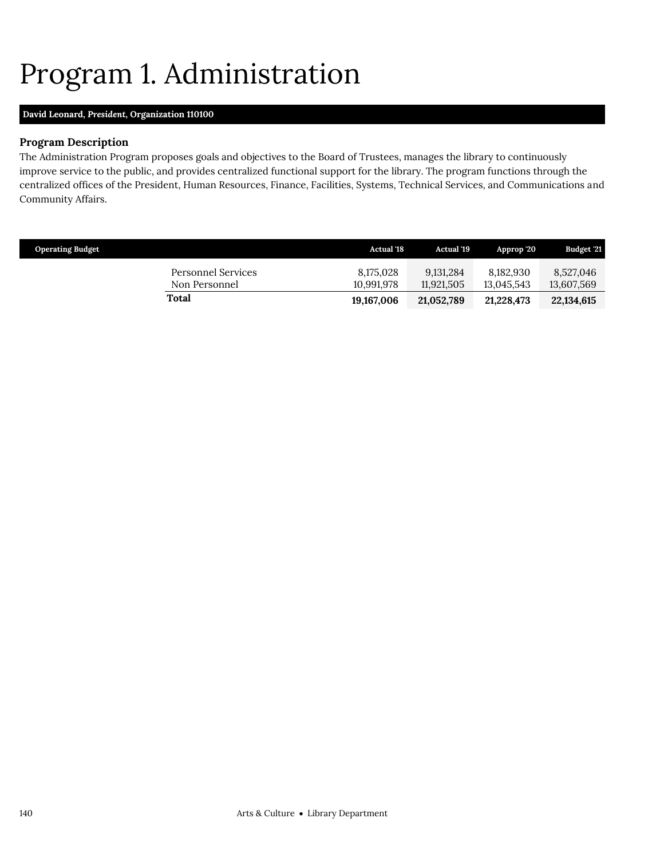## <span id="page-23-0"></span>Program 1. Administration

## **David Leonard,** *President,* **Organization 110100**

## **Program Description**

The Administration Program proposes goals and objectives to the Board of Trustees, manages the library to continuously improve service to the public, and provides centralized functional support for the library. The program functions through the centralized offices of the President, Human Resources, Finance, Facilities, Systems, Technical Services, and Communications and Community Affairs.

| <b>Operating Budget</b>             | <b>Actual</b> '18       | <b>Actual</b> '19       | Approp '20              | Budget '21              |
|-------------------------------------|-------------------------|-------------------------|-------------------------|-------------------------|
| Personnel Services<br>Non Personnel | 8,175,028<br>10.991.978 | 9.131.284<br>11.921.505 | 8.182.930<br>13.045.543 | 8,527,046<br>13,607,569 |
| Total                               | 19,167,006              | 21,052,789              | 21,228,473              | 22,134,615              |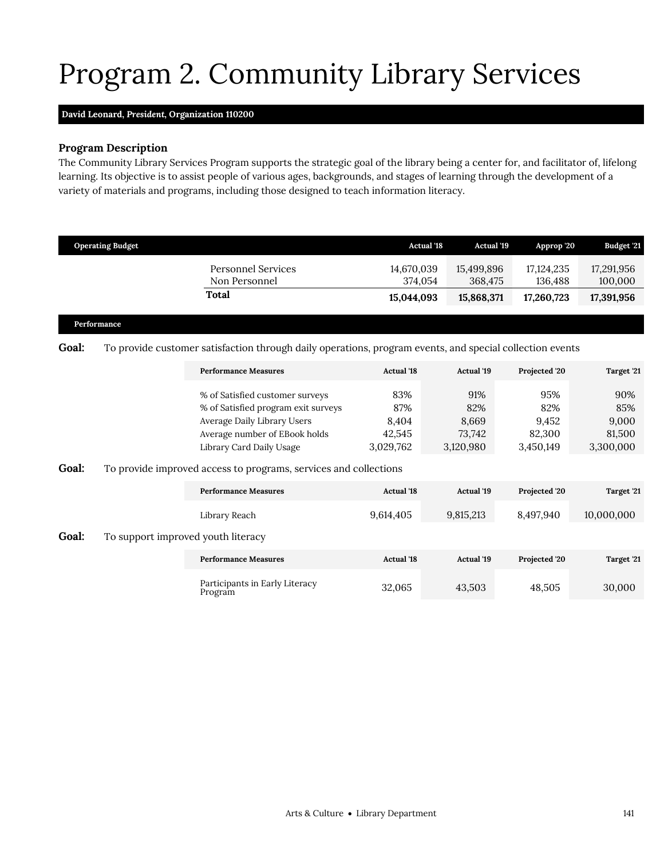# <span id="page-24-0"></span>Program 2. Community Library Services

## **David Leonard,** *President,* **Organization 110200**

## **Program Description**

The Community Library Services Program supports the strategic goal of the library being a center for, and facilitator of, lifelong learning. Its objective is to assist people of various ages, backgrounds, and stages of learning through the development of a variety of materials and programs, including those designed to teach information literacy.

|              | <b>Operating Budget</b>            |                                                                                                                                                                    | <b>Actual '18</b>                          | <b>Actual '19</b>                          | Approp '20                                 | Budget '21                                 |
|--------------|------------------------------------|--------------------------------------------------------------------------------------------------------------------------------------------------------------------|--------------------------------------------|--------------------------------------------|--------------------------------------------|--------------------------------------------|
|              |                                    | <b>Personnel Services</b><br>Non Personnel                                                                                                                         | 14,670,039<br>374,054                      | 15,499,896<br>368,475                      | 17,124,235<br>136,488                      | 17,291,956<br>100,000                      |
|              |                                    | <b>Total</b>                                                                                                                                                       | 15,044,093                                 | 15,868,371                                 | 17,260,723                                 | 17,391,956                                 |
|              | Performance                        |                                                                                                                                                                    |                                            |                                            |                                            |                                            |
| <b>Goal:</b> |                                    | To provide customer satisfaction through daily operations, program events, and special collection events                                                           |                                            |                                            |                                            |                                            |
|              |                                    | <b>Performance Measures</b>                                                                                                                                        | <b>Actual '18</b>                          | <b>Actual '19</b>                          | Projected '20                              | Target '21                                 |
|              |                                    | % of Satisfied customer surveys<br>% of Satisfied program exit surveys<br>Average Daily Library Users<br>Average number of EBook holds<br>Library Card Daily Usage | 83%<br>87%<br>8,404<br>42,545<br>3,029,762 | 91%<br>82%<br>8,669<br>73,742<br>3,120,980 | 95%<br>82%<br>9,452<br>82,300<br>3,450,149 | 90%<br>85%<br>9,000<br>81,500<br>3,300,000 |
| Goal:        |                                    | To provide improved access to programs, services and collections                                                                                                   |                                            |                                            |                                            |                                            |
|              |                                    | <b>Performance Measures</b>                                                                                                                                        | <b>Actual '18</b>                          | <b>Actual</b> '19                          | Projected '20                              | Target '21                                 |
|              |                                    | Library Reach                                                                                                                                                      | 9,614,405                                  | 9,815,213                                  | 8,497,940                                  | 10.000.000                                 |
| Goal:        | To support improved youth literacy |                                                                                                                                                                    |                                            |                                            |                                            |                                            |
|              |                                    | <b>Performance Measures</b>                                                                                                                                        | <b>Actual '18</b>                          | <b>Actual '19</b>                          | Projected '20                              | Target '21                                 |
|              |                                    | Participants in Early Literacy<br>Program                                                                                                                          | 32,065                                     | 43,503                                     | 48,505                                     | 30,000                                     |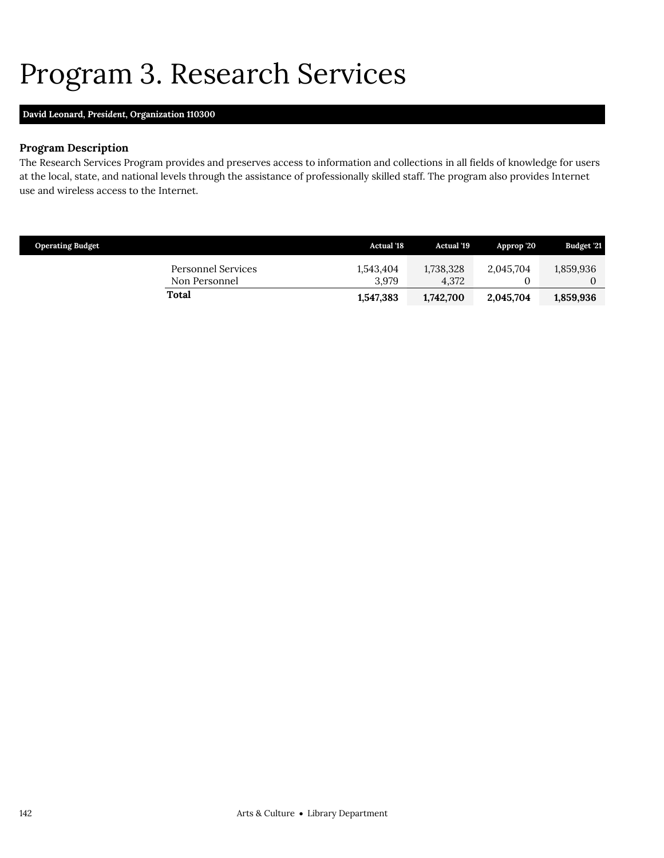## <span id="page-25-0"></span>Program 3. Research Services

## **David Leonard,** *President,* **Organization 110300**

## **Program Description**

The Research Services Program provides and preserves access to information and collections in all fields of knowledge for users at the local, state, and national levels through the assistance of professionally skilled staff. The program also provides Internet use and wireless access to the Internet.

| <b>Operating Budget</b>             | <b>Actual '18</b>  | <b>Actual</b> '19  | Approp '20 | Budget '21 |
|-------------------------------------|--------------------|--------------------|------------|------------|
| Personnel Services<br>Non Personnel | 1,543,404<br>3.979 | 1,738,328<br>4.372 | 2,045,704  | 1,859,936  |
| Total                               | 1,547,383          | 1,742,700          | 2,045,704  | 1,859,936  |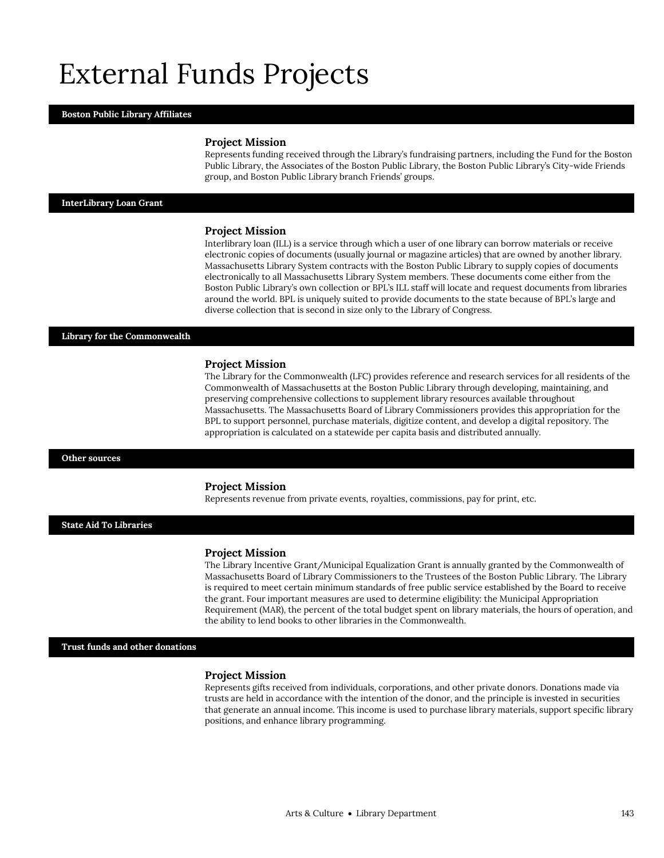## External Funds Projects

#### **Boston Public Library Affiliates**

#### **Project Mission**

Represents funding received through the Library's fundraising partners, including the Fund for the Boston Public Library, the Associates of the Boston Public Library, the Boston Public Library's City-wide Friends group, and Boston Public Library branch Friends' groups.

#### **InterLibrary Loan Grant**

#### **Project Mission**

Interlibrary loan (ILL) is a service through which a user of one library can borrow materials or receive electronic copies of documents (usually journal or magazine articles) that are owned by another library. Massachusetts Library System contracts with the Boston Public Library to supply copies of documents electronically to all Massachusetts Library System members. These documents come either from the Boston Public Library's own collection or BPL's ILL staff will locate and request documents from libraries around the world. BPL is uniquely suited to provide documents to the state because of BPL's large and diverse collection that is second in size only to the Library of Congress.

### **Library for the Commonwealth**

#### **Project Mission**

The Library for the Commonwealth (LFC) provides reference and research services for all residents of the Commonwealth of Massachusetts at the Boston Public Library through developing, maintaining, and preserving comprehensive collections to supplement library resources available throughout Massachusetts. The Massachusetts Board of Library Commissioners provides this appropriation for the BPL to support personnel, purchase materials, digitize content, and develop a digital repository. The appropriation is calculated on a statewide per capita basis and distributed annually.

#### **Other sources**

#### **Project Mission**

Represents revenue from private events, royalties, commissions, pay for print, etc.

### **State Aid To Libraries**

#### **Project Mission**

The Library Incentive Grant/Municipal Equalization Grant is annually granted by the Commonwealth of Massachusetts Board of Library Commissioners to the Trustees of the Boston Public Library. The Library is required to meet certain minimum standards of free public service established by the Board to receive the grant. Four important measures are used to determine eligibility: the Municipal Appropriation Requirement (MAR), the percent of the total budget spent on library materials, the hours of operation, and the ability to lend books to other libraries in the Commonwealth.

**Trust funds and other donations**

#### **Project Mission**

Represents gifts received from individuals, corporations, and other private donors. Donations made via trusts are held in accordance with the intention of the donor, and the principle is invested in securities that generate an annual income. This income is used to purchase library materials, support specific library positions, and enhance library programming.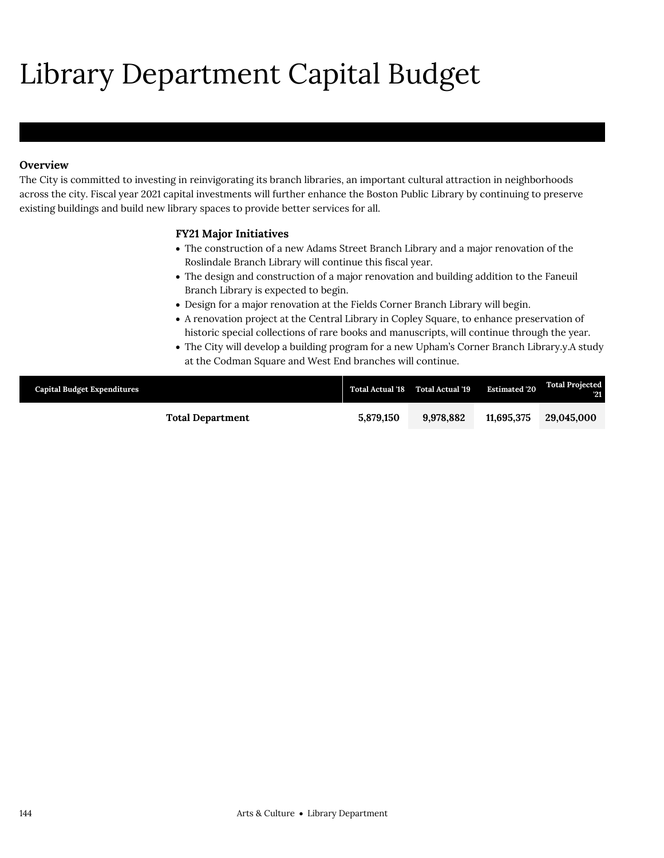# Library Department Capital Budget

## **Overview**

The City is committed to investing in reinvigorating its branch libraries, an important cultural attraction in neighborhoods across the city. Fiscal year 2021 capital investments will further enhance the Boston Public Library by continuing to preserve existing buildings and build new library spaces to provide better services for all.

## **FY21 Major Initiatives**

- The construction of a new Adams Street Branch Library and a major renovation of the Roslindale Branch Library will continue this fiscal year.
- The design and construction of a major renovation and building addition to the Faneuil Branch Library is expected to begin.
- Design for a major renovation at the Fields Corner Branch Library will begin.
- A renovation project at the Central Library in Copley Square, to enhance preservation of historic special collections of rare books and manuscripts, will continue through the year.
- The City will develop a building program for a new Upham's Corner Branch Library.y.A study at the Codman Square and West End branches will continue.

| <b>Capital Budget Expenditures</b> |                         |           | Total Actual '18 Total Actual '19 | <b>Estimated '20</b> | <b>Total Projected</b><br><b>121</b> |
|------------------------------------|-------------------------|-----------|-----------------------------------|----------------------|--------------------------------------|
|                                    | <b>Total Department</b> | 5.879.150 | 9.978.882                         | 11.695.375           | 29,045,000                           |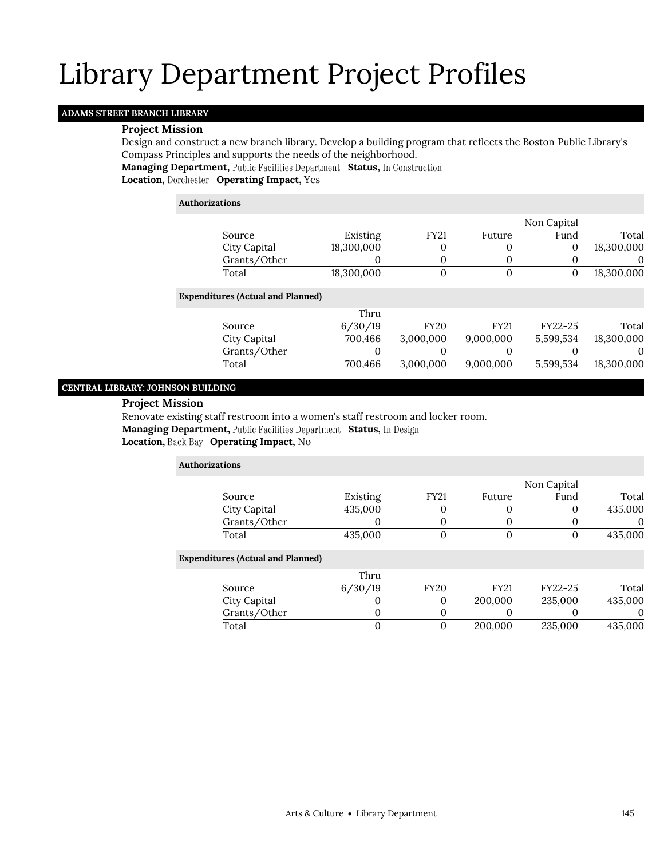## **ADAMS STREET BRANCH LIBRARY**

### **Project Mission**

Design and construct a new branch library. Develop a building program that reflects the Boston Public Library's Compass Principles and supports the needs of the neighborhood.

**Managing Department, Public Facilities Department Status, In Construction** 

**Location, Operating Impact,** Yes

## **Authorizations** Source Existing FY21 Future Non Capital Fund Total City Capital 18,300,000 0 0 0 18,300,000 Grants/Other 0 0 0 0 0 0 Total 18,300,000 0 0 0 18,300,000 **Expenditures (Actual and Planned)** Source Thru 6/30/19 FY20 FY21 FY22-25 Total City Capital 700,466 3,000,000 9,000,000 5,599,534 18,300,000 Grants/Other 0 0 0 0 0 0 Total 700,466 3,000,000 9,000,000 5,599,534 18,300,000

## **CENTRAL LIBRARY: JOHNSON BUILDING**

## **Project Mission**

Renovate existing staff restroom into a women's staff restroom and locker room. **Managing Department, Public Facilities Department Status, In Design** 

## Location, Back Bay Operating Impact, No

| <b>Authorizations</b>                    |          |                |             |             |          |
|------------------------------------------|----------|----------------|-------------|-------------|----------|
|                                          |          |                |             | Non Capital |          |
| Source                                   | Existing | <b>FY21</b>    | Future      | Fund        | Total    |
| City Capital                             | 435,000  | 0              | 0           | 0           | 435,000  |
| Grants/Other                             | O        | 0              | $\theta$    | $\theta$    | $\theta$ |
| Total                                    | 435,000  | 0              | 0           | 0           | 435,000  |
| <b>Expenditures (Actual and Planned)</b> |          |                |             |             |          |
|                                          | Thru     |                |             |             |          |
| Source                                   | 6/30/19  | <b>FY20</b>    | <b>FY21</b> | FY22-25     | Total    |
| City Capital                             | $\Omega$ | 0              | 200,000     | 235,000     | 435,000  |
| Grants/Other                             | $\Omega$ | 0              | $\theta$    |             | $\Omega$ |
| Total                                    | $\Omega$ | $\overline{0}$ | 200,000     | 235,000     | 435,000  |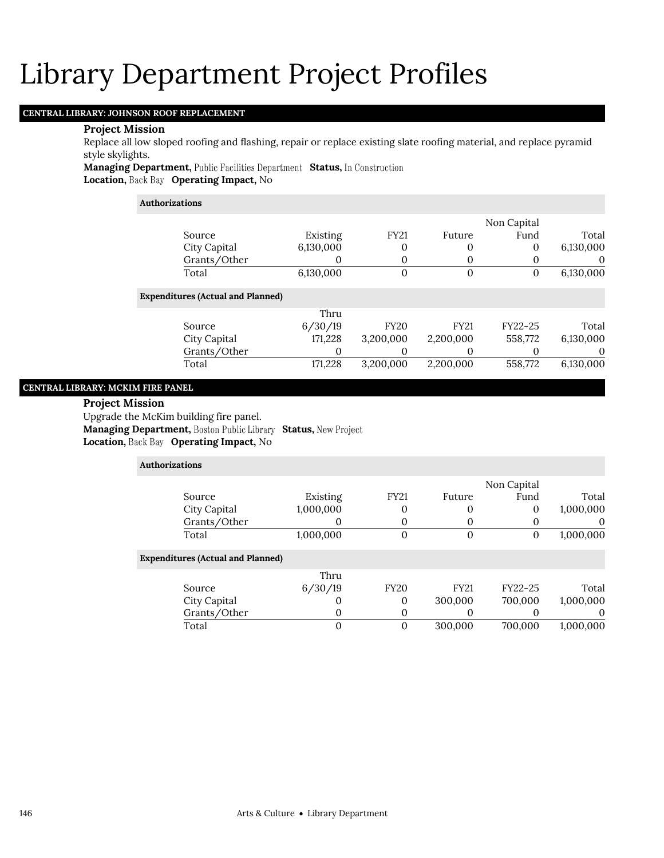## **CENTRAL LIBRARY: JOHNSON ROOF REPLACEMENT**

#### **Project Mission**

Replace all low sloped roofing and flashing, repair or replace existing slate roofing material, and replace pyramid style skylights.

**Managing Department, Public Facilities Department Status, In Construction Location, Back Bay Operating Impact, No** 

## **Authorizations** Source Existing FY21 Future Non Capital Fund Total City Capital 6,130,000 0 0 0 6,130,000 Grants/Other 0 0 0 0 0 0 Total 6,130,000 0 0 0 6,130,000 **Expenditures (Actual and Planned)** Source Thru 6/30/19 FY20 FY21 FY22-25 Total City Capital 171,228 3,200,000 2,200,000 558,772 6,130,000 Grants/Other 0 0 0 0 0 0 Total 171,228 3,200,000 2,200,000 558,772 6,130,000

## **CENTRAL LIBRARY: MCKIM FIRE PANEL**

#### **Project Mission**

Upgrade the McKim building fire panel.

**Managing Department, Boston Public Library Status, New Project** 

## Location, Back Bay Operating Impact, No

| Authorizations |                                          |           |             |              |             |           |
|----------------|------------------------------------------|-----------|-------------|--------------|-------------|-----------|
|                |                                          |           |             |              | Non Capital |           |
|                | Source                                   | Existing  | <b>FY21</b> | Future       | Fund        | Total     |
|                | City Capital                             | 1,000,000 | 0           | $\Omega$     | 0           | 1,000,000 |
|                | Grants/Other                             |           | 0           | $\Omega$     |             | $\theta$  |
|                | Total                                    | 1,000,000 | $\theta$    | $\mathbf{0}$ | $\theta$    | 1,000,000 |
|                | <b>Expenditures (Actual and Planned)</b> |           |             |              |             |           |
|                |                                          | Thru      |             |              |             |           |
|                | Source                                   | 6/30/19   | <b>FY20</b> | <b>FY21</b>  | FY22-25     | Total     |
|                | City Capital                             |           | 0           | 300,000      | 700,000     | 1,000,000 |
|                | Grants/Other                             | $\Omega$  | 0           | $\Omega$     |             | $\theta$  |
|                | Total                                    |           | $\Omega$    | 300,000      | 700.000     | 1.000.000 |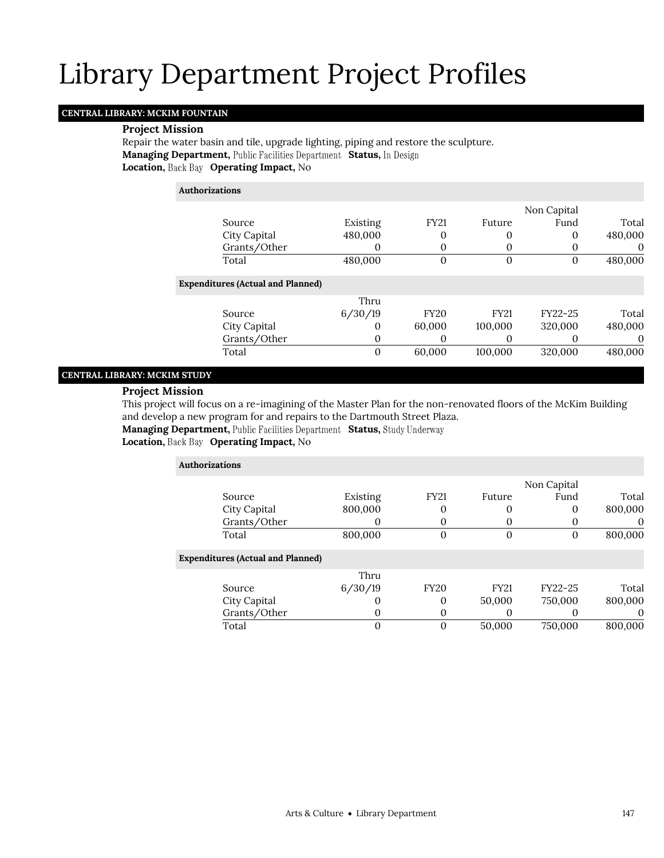## **CENTRAL LIBRARY: MCKIM FOUNTAIN**

### **Project Mission**

Repair the water basin and tile, upgrade lighting, piping and restore the sculpture. **Managing Department, Public Facilities Department Status, In Design Location, Back Bay Operating Impact, No** 

### **Authorizations**

|          | Non Capital |             |             |          |                                          |  |
|----------|-------------|-------------|-------------|----------|------------------------------------------|--|
| Total    | Fund        | Future      | <b>FY21</b> | Existing | Source                                   |  |
| 480,000  | 0           |             | 0           | 480,000  | City Capital                             |  |
| $\theta$ |             |             | 0           |          | Grants/Other                             |  |
| 480,000  | 0           | $\mathbf 0$ | 0           | 480,000  | Total                                    |  |
|          |             |             |             |          | <b>Expenditures (Actual and Planned)</b> |  |
|          |             |             |             | Thru     |                                          |  |
| Total    | FY22-25     | <b>FY21</b> | <b>FY20</b> | 6/30/19  | Source                                   |  |
| 480,000  | 320,000     | 100,000     | 60,000      | $\Omega$ | City Capital                             |  |
|          |             |             | 0           | $\Omega$ | Grants/Other                             |  |
| 480,000  | 320,000     | 100,000     | 60,000      | 0        | Total                                    |  |

## **CENTRAL LIBRARY: MCKIM STUDY**

## **Project Mission**

This project will focus on a re-imagining of the Master Plan for the non-renovated floors of the McKim Building and develop a new program for and repairs to the Dartmouth Street Plaza.

**Managing Department, Public Facilities Department Status, Study Underway** 

## **Location, Back Bay Operating Impact, No**

| <b>Authorizations</b>                    |               |                |             |             |          |
|------------------------------------------|---------------|----------------|-------------|-------------|----------|
|                                          |               |                |             | Non Capital |          |
| Source                                   | Existing      | <b>FY21</b>    | Future      | Fund        | Total    |
| City Capital                             | 800,000       | 0              | 0           | 0           | 800,000  |
| Grants/Other                             | O             | 0              | $\theta$    | $\theta$    | $\theta$ |
| Total                                    | 800,000       | $\overline{0}$ | 0           | 0           | 800,000  |
| <b>Expenditures (Actual and Planned)</b> |               |                |             |             |          |
|                                          | Thru          |                |             |             |          |
| Source                                   | 6/30/19       | <b>FY20</b>    | <b>FY21</b> | FY22-25     | Total    |
| City Capital                             | $\mathcal{O}$ | 0              | 50,000      | 750,000     | 800,000  |
| Grants/Other                             | $\Omega$      | 0              | $\Omega$    |             | $\Omega$ |
| Total                                    | 0             | 0              | 50,000      | 750,000     | 800,000  |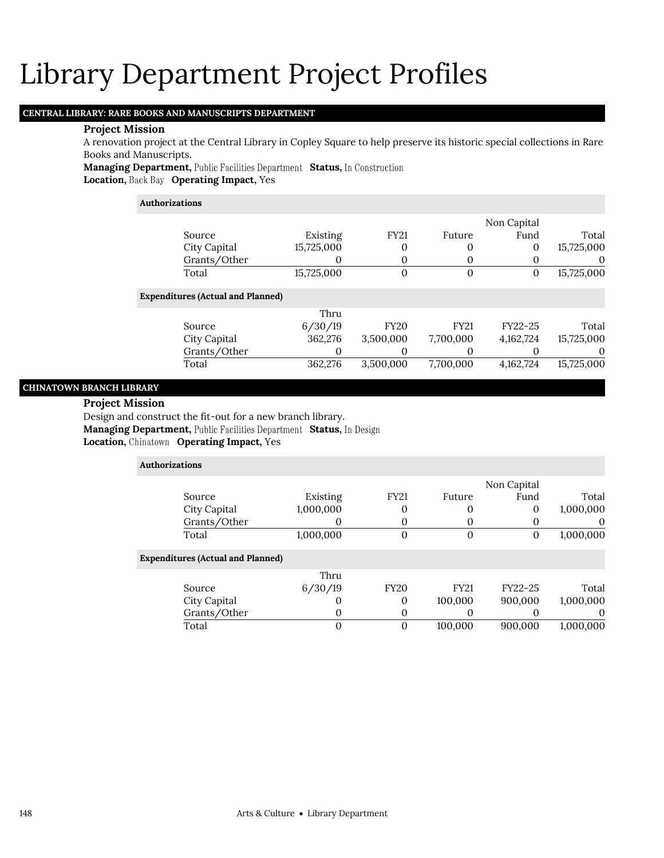## **CENTRAL LIBRARY: RARE BOOKS AND MANUSCRIPTS DEPARTMENT**

### **Project Mission**

A renovation project at the Central Library in Copley Square to help preserve its historic special collections in Rare Books and Manuscripts.

**Managing Department, Public Facilities Department Status, In Construction Location, Back Bay Operating Impact, Yes** 

## **Authorizations**

|                                          |            |                |             | Non Capital  |            |
|------------------------------------------|------------|----------------|-------------|--------------|------------|
| Source                                   | Existing   | <b>FY21</b>    | Future      | Fund         | Total      |
| City Capital                             | 15,725,000 | 0              | 0           | 0            | 15,725,000 |
| Grants/Other                             | O          | 0              | 0           | 0            | $\theta$   |
| Total                                    | 15,725,000 | $\overline{0}$ | $\theta$    | $\mathbf{0}$ | 15,725,000 |
| <b>Expenditures (Actual and Planned)</b> |            |                |             |              |            |
|                                          | Thru       |                |             |              |            |
| Source                                   | 6/30/19    | <b>FY20</b>    | <b>FY21</b> | FY22-25      | Total      |
| City Capital                             | 362,276    | 3,500,000      | 7,700,000   | 4,162,724    | 15,725,000 |
| Grants/Other                             |            | 0              | $\theta$    | O            | 0          |
| Total                                    | 362,276    | 3,500,000      | 7,700,000   | 4,162,724    | 15,725,000 |

## **CHINATOWN BRANCH LIBRARY**

#### **Project Mission**

Design and construct the fit-out for a new branch library.

**Managing Department, Public Facilities Department Status, In Design** 

| <b>Authorizations</b>                    |           |          |              |             |             |           |
|------------------------------------------|-----------|----------|--------------|-------------|-------------|-----------|
|                                          |           |          |              |             | Non Capital |           |
| Source                                   | Existing  |          | <b>FY21</b>  | Future      | Fund        | Total     |
| City Capital                             | 1,000,000 |          | 0            |             | $\Omega$    | 1,000,000 |
| Grants/Other                             |           |          |              |             |             | $\theta$  |
| Total                                    | 1,000,000 |          | $\mathbf{0}$ | $\Omega$    | 0           | 1,000,000 |
| <b>Expenditures (Actual and Planned)</b> |           |          |              |             |             |           |
|                                          |           | Thru     |              |             |             |           |
| Source                                   | 6/30/19   |          | <b>FY20</b>  | <b>FY21</b> | FY22-25     | Total     |
| City Capital                             |           | $\theta$ | $\theta$     | 100,000     | 900,000     | 1,000,000 |
| Grants/Other                             |           | 0        | 0            |             |             | $\theta$  |
| Total                                    |           | $\Omega$ | $\Omega$     | 100,000     | 900.000     | 1,000,000 |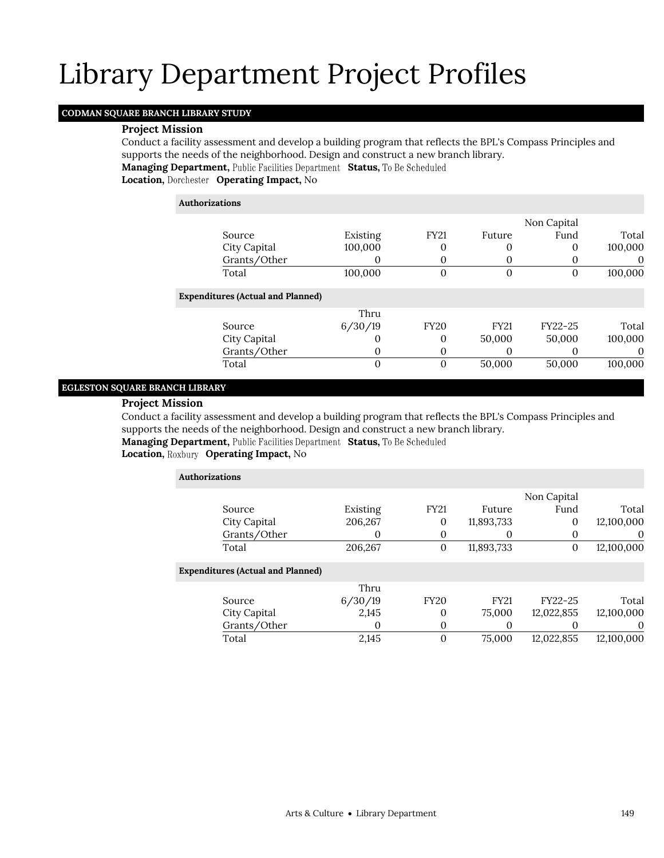## **CODMAN SQUARE BRANCH LIBRARY STUDY**

### **Project Mission**

Conduct a facility assessment and develop a building program that reflects the BPL's Compass Principles and supports the needs of the neighborhood. Design and construct a new branch library. **Managing Department, Public Facilities Department Status, To Be Scheduled** 

**Location, Operating Impact,** No

| Authorizations                           |          |             |             |             |          |
|------------------------------------------|----------|-------------|-------------|-------------|----------|
|                                          |          |             |             | Non Capital |          |
| Source                                   | Existing | <b>FY21</b> | Future      | Fund        | Total    |
| City Capital                             | 100,000  | 0           |             | 0           | 100,000  |
| Grants/Other                             | O        | 0           |             | $\theta$    | $\theta$ |
| Total                                    | 100,000  | $\theta$    | $\Omega$    | 0           | 100,000  |
| <b>Expenditures (Actual and Planned)</b> |          |             |             |             |          |
|                                          | Thru     |             |             |             |          |
| Source                                   | 6/30/19  | <b>FY20</b> | <b>FY21</b> | FY22-25     | Total    |
| City Capital                             | O        | 0           | 50,000      | 50,000      | 100,000  |
| Grants/Other                             | O        | 0           |             | 0           | $\theta$ |
| Total                                    | 0        | $\theta$    | 50,000      | 50,000      | 100,000  |

## **EGLESTON SQUARE BRANCH LIBRARY**

## **Project Mission**

Conduct a facility assessment and develop a building program that reflects the BPL's Compass Principles and supports the needs of the neighborhood. Design and construct a new branch library.

**Managing Department, Public Facilities Department Status, To Be Scheduled** 

| Authorizations                           |              |          |                  |             |             |            |
|------------------------------------------|--------------|----------|------------------|-------------|-------------|------------|
|                                          |              |          |                  |             | Non Capital |            |
| Source                                   |              | Existing | <b>FY21</b>      | Future      | Fund        | Total      |
| City Capital                             |              | 206,267  | 0                | 11,893,733  | 0           | 12,100,000 |
|                                          | Grants/Other |          | 0                | $\Omega$    | 0           | $\Omega$   |
| Total                                    |              | 206,267  | $\boldsymbol{0}$ | 11,893,733  | $\Omega$    | 12,100,000 |
| <b>Expenditures (Actual and Planned)</b> |              |          |                  |             |             |            |
|                                          |              | Thru     |                  |             |             |            |
| Source                                   |              | 6/30/19  | <b>FY20</b>      | <b>FY21</b> | FY22-25     | Total      |
| City Capital                             |              | 2,145    | 0                | 75,000      | 12,022,855  | 12,100,000 |
|                                          | Grants/Other |          | 0                | 0           |             | $\Omega$   |
| Total                                    |              | 2,145    | $\boldsymbol{0}$ | 75,000      | 12,022,855  | 12,100,000 |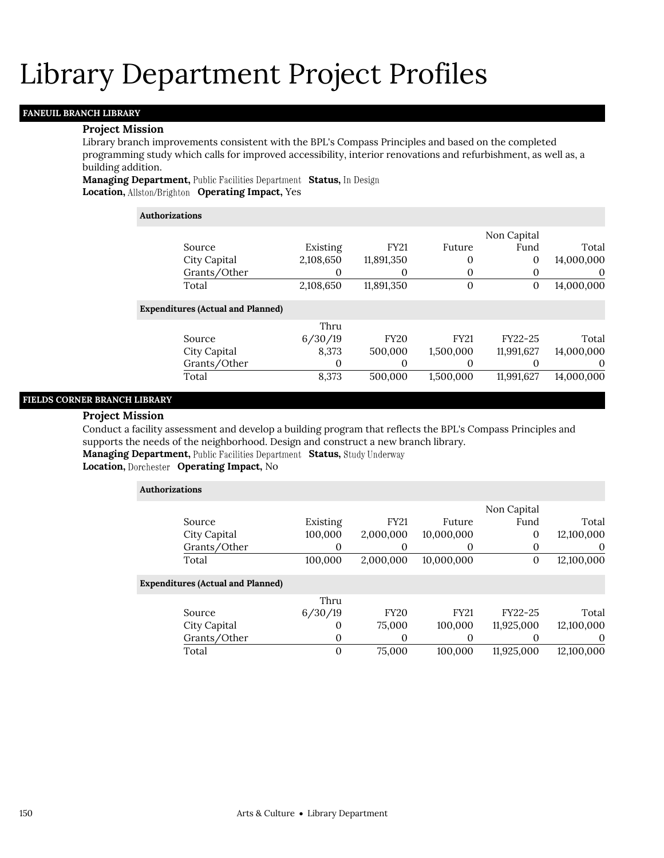## **FANEUIL BRANCH LIBRARY**

## **Project Mission**

Library branch improvements consistent with the BPL's Compass Principles and based on the completed programming study which calls for improved accessibility, interior renovations and refurbishment, as well as, a building addition.

**Managing Department, Public Facilities Department Status, In Design Location, Operating Impact,** Yes

#### **Authorizations**

|            | Non Capital  |              |             |           |                                          |  |
|------------|--------------|--------------|-------------|-----------|------------------------------------------|--|
| Total      | Fund         | Future       | <b>FY21</b> | Existing  | Source                                   |  |
| 14,000,000 | 0            | $\Omega$     | 11,891,350  | 2,108,650 | City Capital                             |  |
| $\theta$   | 0            | 0            | 0           | 0         | Grants/Other                             |  |
| 14,000,000 | $\mathbf{0}$ | $\mathbf{0}$ | 11,891,350  | 2,108,650 | Total                                    |  |
|            |              |              |             |           | <b>Expenditures (Actual and Planned)</b> |  |
|            |              |              |             | Thru      |                                          |  |
| Total      | FY22-25      | <b>FY21</b>  | <b>FY20</b> | 6/30/19   | Source                                   |  |
| 14,000,000 | 11,991,627   | 1,500,000    | 500,000     | 8,373     | City Capital                             |  |
| 0          | O            | 0            | 0           | $\theta$  | Grants/Other                             |  |
| 14,000,000 | 11,991,627   | 1,500,000    | 500.000     | 8,373     | Total                                    |  |

## **FIELDS CORNER BRANCH LIBRARY**

### **Project Mission**

Conduct a facility assessment and develop a building program that reflects the BPL's Compass Principles and supports the needs of the neighborhood. Design and construct a new branch library.

**Managing Department, Public Facilities Department Status, Study Underway** 

| <b>Authorizations</b>                    |              |             |             |             |            |
|------------------------------------------|--------------|-------------|-------------|-------------|------------|
|                                          |              |             |             | Non Capital |            |
| Source                                   | Existing     | <b>FY21</b> | Future      | Fund        | Total      |
| City Capital                             | 100,000      | 2,000,000   | 10,000,000  | 0           | 12,100,000 |
| Grants/Other                             | 0            | 0           | $\Omega$    | $\Omega$    | 0          |
| Total                                    | 100,000      | 2,000,000   | 10,000,000  | $\theta$    | 12,100,000 |
| <b>Expenditures (Actual and Planned)</b> |              |             |             |             |            |
|                                          | Thru         |             |             |             |            |
| Source                                   | 6/30/19      | <b>FY20</b> | <b>FY21</b> | FY22-25     | Total      |
| City Capital                             | $\Omega$     | 75,000      | 100,000     | 11,925,000  | 12,100,000 |
| Grants/Other                             | $\mathbf{0}$ | 0           | 0           |             | 0          |
| Total                                    | $\Omega$     | 75,000      | 100,000     | 11,925,000  | 12.100.000 |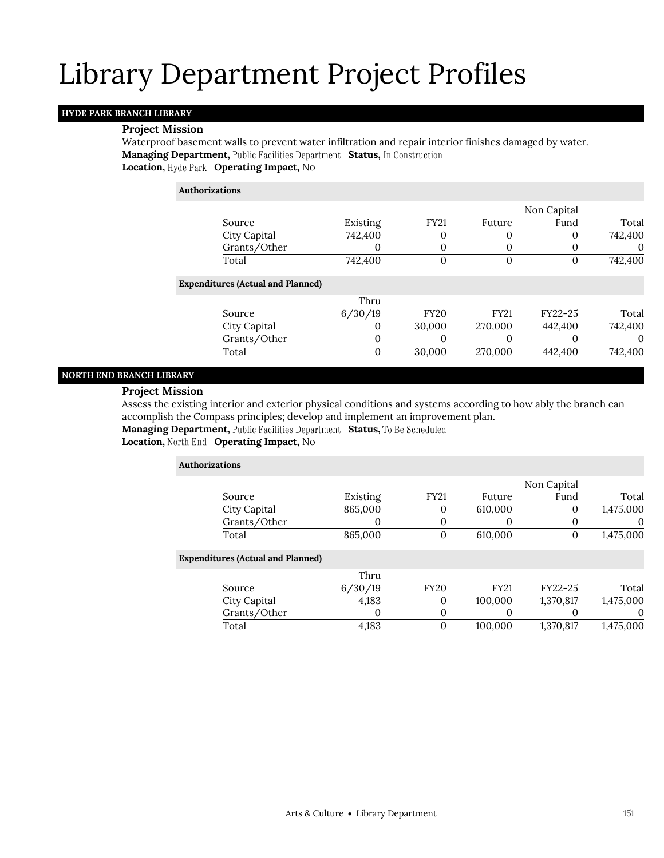### **HYDE PARK BRANCH LIBRARY**

### **Project Mission**

Waterproof basement walls to prevent water infiltration and repair interior finishes damaged by water. **Managing Department, Public Facilities Department Status, In Construction Location, Hyde Park Operating Impact, No** 

| <b>Authorizations</b> |                                          |          |             |             |             |          |
|-----------------------|------------------------------------------|----------|-------------|-------------|-------------|----------|
|                       |                                          |          |             |             | Non Capital |          |
|                       | Source                                   | Existing | <b>FY21</b> | Future      | Fund        | Total    |
|                       | City Capital                             | 742,400  | 0           | 0           | $\theta$    | 742,400  |
|                       | Grants/Other                             | O        | 0           | $\Omega$    | O           | $\theta$ |
|                       | Total                                    | 742,400  | 0           | 0           | 0           | 742,400  |
|                       | <b>Expenditures (Actual and Planned)</b> |          |             |             |             |          |
|                       |                                          | Thru     |             |             |             |          |
|                       | Source                                   | 6/30/19  | <b>FY20</b> | <b>FY21</b> | FY22-25     | Total    |
|                       | City Capital                             | $\theta$ | 30,000      | 270,000     | 442,400     | 742.400  |
|                       | Grants/Other                             | $\Omega$ | 0           | $\Omega$    |             | $\theta$ |
|                       | Total                                    | 0        | 30,000      | 270,000     | 442,400     | 742,400  |

### **NORTH END BRANCH LIBRARY**

### **Project Mission**

Assess the existing interior and exterior physical conditions and systems according to how ably the branch can accomplish the Compass principles; develop and implement an improvement plan.

**Managing Department, Public Facilities Department Status, To Be Scheduled** 

| <b>Authorizations</b>                    |          |                  |                   |             |           |
|------------------------------------------|----------|------------------|-------------------|-------------|-----------|
|                                          |          |                  |                   | Non Capital |           |
| Source                                   | Existing | <b>FY21</b>      | Future            | Fund        | Total     |
| City Capital                             | 865,000  | 0                | 610,000           | 0           | 1,475,000 |
| Grants/Other                             | O        | 0                | O                 | $\theta$    | $\theta$  |
| Total                                    | 865,000  | $\boldsymbol{0}$ | 610,000           | 0           | 1,475,000 |
| <b>Expenditures (Actual and Planned)</b> |          |                  |                   |             |           |
|                                          | Thru     |                  |                   |             |           |
| Source                                   | 6/30/19  | <b>FY20</b>      | <b>FY21</b>       | FY22-25     | Total     |
| City Capital                             | 4,183    | 0                | 100,000           | 1,370,817   | 1,475,000 |
| Grants/Other                             | $\Omega$ | 0                | $\mathbf{\Omega}$ |             | $\theta$  |
| Total                                    | 4,183    | $\theta$         | 100,000           | 1,370,817   | 1,475,000 |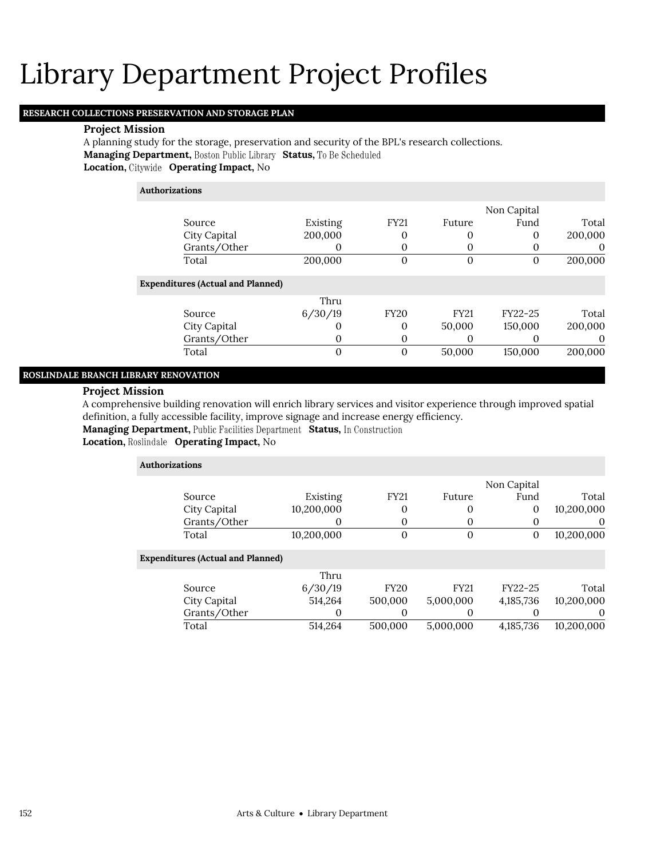## **RESEARCH COLLECTIONS PRESERVATION AND STORAGE PLAN**

### **Project Mission**

A planning study for the storage, preservation and security of the BPL's research collections. **Managing Department, Boston Public Library Status, To Be Scheduled Location, Operating Impact,** No

## **Authorizations**

|              |              |          |             |        | Non Capital |         |
|--------------|--------------|----------|-------------|--------|-------------|---------|
| Source       |              | Existing | <b>FY21</b> | Future | Fund        | Total   |
| City Capital |              | 200,000  |             |        |             | 200,000 |
|              | Grants/Other |          |             |        |             |         |
| Total        |              | 200,000  |             |        |             | 200,000 |

### **Expenditures (Actual and Planned)**

|              | Thru    |             |             |         |         |
|--------------|---------|-------------|-------------|---------|---------|
| Source       | 6/30/19 | <b>FY20</b> | <b>FY21</b> | FY22-25 | Total   |
| City Capital |         |             | 50,000      | 150,000 | 200,000 |
| Grants/Other |         |             |             |         |         |
| Total        |         |             | 50,000      | 150,000 | 200,000 |

## **ROSLINDALE BRANCH LIBRARY RENOVATION**

## **Project Mission**

A comprehensive building renovation will enrich library services and visitor experience through improved spatial definition, a fully accessible facility, improve signage and increase energy efficiency.

**Managing Department, Public Facilities Department Status, In Construction** 

### **Location, Roslindale Operating Impact, No**

|              |                       |                                          |              | Non Capital       |            |
|--------------|-----------------------|------------------------------------------|--------------|-------------------|------------|
| Source       | Existing              | <b>FY21</b>                              | Future       | Fund              | Total      |
| City Capital | 10,200,000            | 0                                        | 0            | 0                 | 10,200,000 |
| Grants/Other | 0                     | 0                                        | 0            | $\theta$          | $\theta$   |
| Total        | 10,200,000            | $\overline{0}$                           | $\mathbf{0}$ | $\mathbf{0}$      | 10,200,000 |
|              |                       |                                          |              |                   |            |
|              | Thru                  |                                          |              |                   |            |
| Source       | 6/30/19               | <b>FY20</b>                              | <b>FY21</b>  | FY22-25           | Total      |
| City Capital | 514,264               | 500,000                                  | 5,000,000    | 4,185,736         | 10,200,000 |
| Grants/Other | 0                     | 0                                        | 0            | $\mathbf{\Omega}$ | $\theta$   |
| Total        | 514,264               | 500.000                                  | 5.000.000    | 4,185,736         | 10.200.000 |
|              | <b>Authorizations</b> | <b>Expenditures (Actual and Planned)</b> |              |                   |            |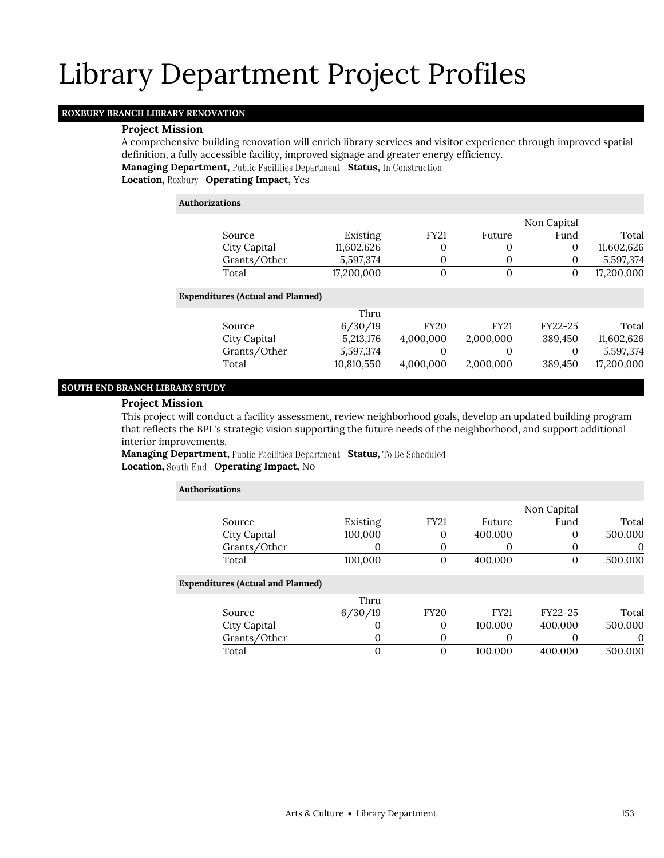## **ROXBURY BRANCH LIBRARY RENOVATION**

### **Project Mission**

A comprehensive building renovation will enrich library services and visitor experience through improved spatial definition, a fully accessible facility, improved signage and greater energy efficiency.

**Managing Department, Public Facilities Department Status, In Construction** 

**Location, Roxbury Operating Impact, Yes** 

| <b>Authorizations</b>                    |            |                |              |             |            |
|------------------------------------------|------------|----------------|--------------|-------------|------------|
|                                          |            |                |              | Non Capital |            |
| Source                                   | Existing   | <b>FY21</b>    | Future       | Fund        | Total      |
| City Capital                             | 11,602,626 | 0              | 0            | 0           | 11,602,626 |
| Grants/Other                             | 5,597,374  | 0              | 0            | 0           | 5,597,374  |
| Total                                    | 17,200,000 | $\overline{0}$ | $\mathbf{0}$ | 0           | 17,200,000 |
| <b>Expenditures (Actual and Planned)</b> |            |                |              |             |            |
|                                          | Thru       |                |              |             |            |
| Source                                   | 6/30/19    | <b>FY20</b>    | <b>FY21</b>  | FY22-25     | Total      |
| City Capital                             | 5,213,176  | 4,000,000      | 2,000,000    | 389,450     | 11,602,626 |
| Grants/Other                             | 5,597,374  | 0              | 0            | 0           | 5,597,374  |
| Total                                    | 10,810,550 | 4,000,000      | 2,000,000    | 389,450     | 17,200,000 |

## **SOUTH END BRANCH LIBRARY STUDY**

## **Project Mission**

This project will conduct a facility assessment, review neighborhood goals, develop an updated building program that reflects the BPL's strategic vision supporting the future needs of the neighborhood, and support additional interior improvements.

**Managing Department,** Public Facilities Department Status, To Be Scheduled **Location, South End Operating Impact, No** 

| <b>Authorizations</b>                    |                   |              |             |             |          |
|------------------------------------------|-------------------|--------------|-------------|-------------|----------|
|                                          |                   |              |             | Non Capital |          |
| Source                                   | Existing          | <b>FY21</b>  | Future      | Fund        | Total    |
| City Capital                             | 100,000           | 0            | 400,000     | 0           | 500,000  |
| Grants/Other                             | O                 | 0            | $\Omega$    | O           | $\theta$ |
| Total                                    | 100,000           | $\theta$     | 400,000     | 0           | 500,000  |
| <b>Expenditures (Actual and Planned)</b> |                   |              |             |             |          |
|                                          | Thru              |              |             |             |          |
| Source                                   | 6/30/19           | <b>FY20</b>  | <b>FY21</b> | FY22-25     | Total    |
| City Capital                             | $\mathbf{\Omega}$ | $\Omega$     | 100,000     | 400,000     | 500,000  |
| Grants/Other                             | $\theta$          | 0            | 0           | O           | 0        |
| Total                                    | 0                 | $\mathbf{0}$ | 100,000     | 400.000     | 500,000  |